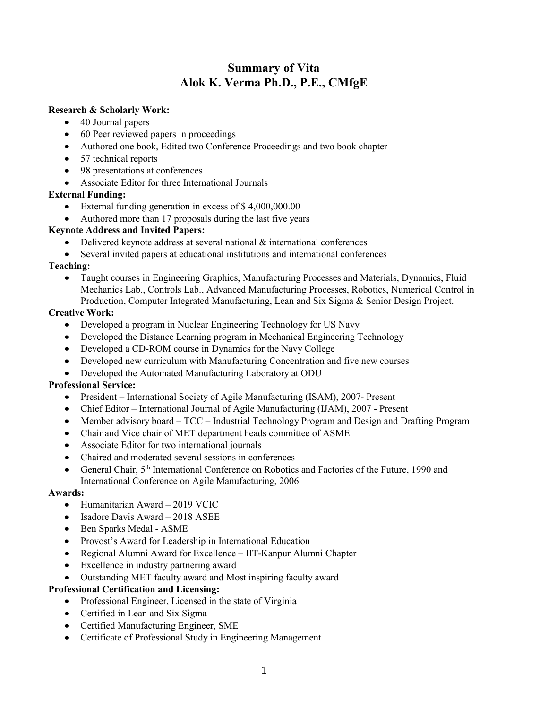## **Summary of Vita Alok K. Verma Ph.D., P.E., CMfgE**

### **Research & Scholarly Work:**

- 40 Journal papers
- 60 Peer reviewed papers in proceedings
- Authored one book, Edited two Conference Proceedings and two book chapter
- 57 technical reports
- 98 presentations at conferences
- Associate Editor for three International Journals

### **External Funding:**

- External funding generation in excess of \$ 4,000,000.00
- Authored more than 17 proposals during the last five years

### **Keynote Address and Invited Papers:**

- Delivered keynote address at several national & international conferences
- Several invited papers at educational institutions and international conferences

#### **Teaching:**

• Taught courses in Engineering Graphics, Manufacturing Processes and Materials, Dynamics, Fluid Mechanics Lab., Controls Lab., Advanced Manufacturing Processes, Robotics, Numerical Control in Production, Computer Integrated Manufacturing, Lean and Six Sigma & Senior Design Project.

### **Creative Work:**

- Developed a program in Nuclear Engineering Technology for US Navy
- Developed the Distance Learning program in Mechanical Engineering Technology
- Developed a CD-ROM course in Dynamics for the Navy College
- Developed new curriculum with Manufacturing Concentration and five new courses
- Developed the Automated Manufacturing Laboratory at ODU

### **Professional Service:**

- President International Society of Agile Manufacturing (ISAM), 2007- Present
- Chief Editor International Journal of Agile Manufacturing (IJAM), 2007 Present
- Member advisory board TCC Industrial Technology Program and Design and Drafting Program
- Chair and Vice chair of MET department heads committee of ASME
- Associate Editor for two international journals
- Chaired and moderated several sessions in conferences
- General Chair, 5th International Conference on Robotics and Factories of the Future, 1990 and International Conference on Agile Manufacturing, 2006

### **Awards:**

- Humanitarian Award 2019 VCIC
- Isadore Davis Award 2018 ASEE
- Ben Sparks Medal ASME
- Provost's Award for Leadership in International Education
- Regional Alumni Award for Excellence IIT-Kanpur Alumni Chapter
- Excellence in industry partnering award
- Outstanding MET faculty award and Most inspiring faculty award

### **Professional Certification and Licensing:**

- Professional Engineer, Licensed in the state of Virginia
- Certified in Lean and Six Sigma
- Certified Manufacturing Engineer, SME
- Certificate of Professional Study in Engineering Management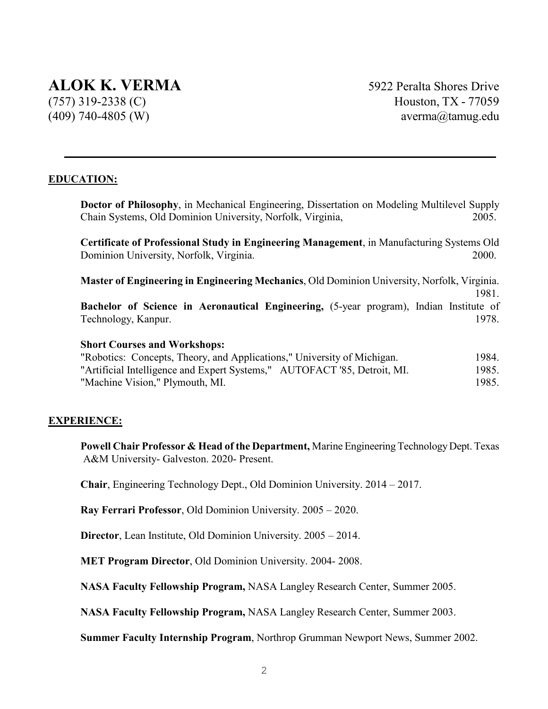# **ALOK K. VERMA** 5922 Peralta Shores Drive

(757) 319-2338 (C) Houston, TX - 77059  $(409)$  740-4805 (W) averma $@$ tamug.edu

## **EDUCATION:**

**Doctor of Philosophy**, in Mechanical Engineering, Dissertation on Modeling Multilevel Supply Chain Systems, Old Dominion University, Norfolk, Virginia, 2005. **Certificate of Professional Study in Engineering Management**, in Manufacturing Systems Old Dominion University, Norfolk, Virginia. 2000. **Master of Engineering in Engineering Mechanics**, Old Dominion University, Norfolk, Virginia. 1981. **Bachelor of Science in Aeronautical Engineering,** (5-year program), Indian Institute of Technology, Kanpur. 1978. **Short Courses and Workshops:** "Robotics: Concepts, Theory, and Applications," University of Michigan. 1984.

"Artificial Intelligence and Expert Systems," AUTOFACT '85, Detroit, MI. 1985. "Machine Vision," Plymouth, MI. 1985.

## **EXPERIENCE:**

**Powell Chair Professor & Head of the Department,** Marine Engineering Technology Dept. Texas A&M University- Galveston. 2020- Present.

**Chair**, Engineering Technology Dept., Old Dominion University. 2014 – 2017.

**Ray Ferrari Professor**, Old Dominion University. 2005 – 2020.

**Director**, Lean Institute, Old Dominion University. 2005 – 2014.

**MET Program Director**, Old Dominion University. 2004- 2008.

**NASA Faculty Fellowship Program,** NASA Langley Research Center, Summer 2005.

**NASA Faculty Fellowship Program,** NASA Langley Research Center, Summer 2003.

**Summer Faculty Internship Program**, Northrop Grumman Newport News, Summer 2002.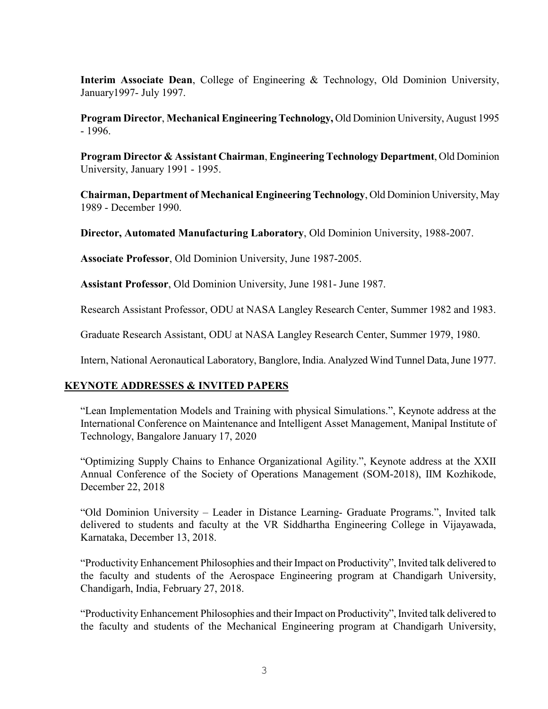**Interim Associate Dean**, College of Engineering & Technology, Old Dominion University, January1997- July 1997.

**Program Director**, **Mechanical Engineering Technology,** Old Dominion University, August 1995 - 1996.

**Program Director & Assistant Chairman**, **Engineering Technology Department**, Old Dominion University, January 1991 - 1995.

**Chairman, Department of Mechanical Engineering Technology**, Old Dominion University, May 1989 - December 1990.

**Director, Automated Manufacturing Laboratory**, Old Dominion University, 1988-2007.

**Associate Professor**, Old Dominion University, June 1987-2005.

**Assistant Professor**, Old Dominion University, June 1981- June 1987.

Research Assistant Professor, ODU at NASA Langley Research Center, Summer 1982 and 1983.

Graduate Research Assistant, ODU at NASA Langley Research Center, Summer 1979, 1980.

Intern, National Aeronautical Laboratory, Banglore, India. Analyzed Wind Tunnel Data, June 1977.

### **KEYNOTE ADDRESSES & INVITED PAPERS**

"Lean Implementation Models and Training with physical Simulations.", Keynote address at the International Conference on Maintenance and Intelligent Asset Management, Manipal Institute of Technology, Bangalore January 17, 2020

"Optimizing Supply Chains to Enhance Organizational Agility.", Keynote address at the XXII Annual Conference of the Society of Operations Management (SOM-2018), IIM Kozhikode, December 22, 2018

"Old Dominion University – Leader in Distance Learning- Graduate Programs.", Invited talk delivered to students and faculty at the VR Siddhartha Engineering College in Vijayawada, Karnataka, December 13, 2018.

"Productivity Enhancement Philosophies and their Impact on Productivity", Invited talk delivered to the faculty and students of the Aerospace Engineering program at Chandigarh University, Chandigarh, India, February 27, 2018.

"Productivity Enhancement Philosophies and their Impact on Productivity", Invited talk delivered to the faculty and students of the Mechanical Engineering program at Chandigarh University,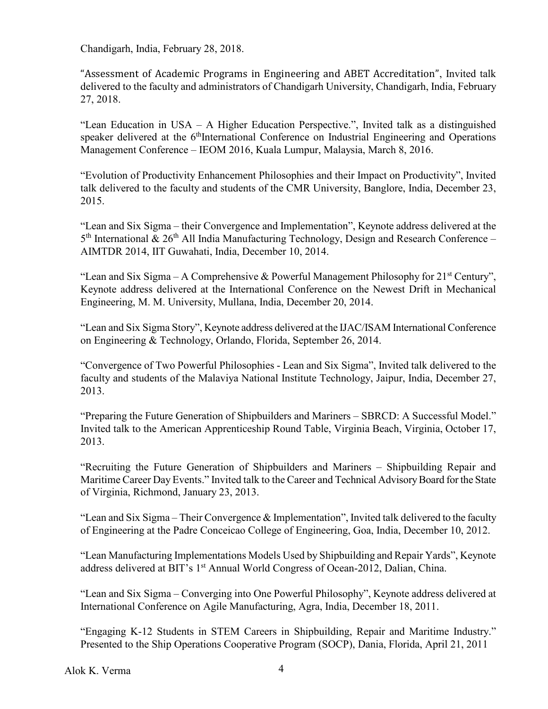Chandigarh, India, February 28, 2018.

"Assessment of Academic Programs in Engineering and ABET Accreditation", Invited talk delivered to the faculty and administrators of Chandigarh University, Chandigarh, India, February 27, 2018.

"Lean Education in USA – A Higher Education Perspective.", Invited talk as a distinguished speaker delivered at the 6<sup>th</sup>International Conference on Industrial Engineering and Operations Management Conference – IEOM 2016, Kuala Lumpur, Malaysia, March 8, 2016.

"Evolution of Productivity Enhancement Philosophies and their Impact on Productivity", Invited talk delivered to the faculty and students of the CMR University, Banglore, India, December 23, 2015.

"Lean and Six Sigma – their Convergence and Implementation", Keynote address delivered at the  $5<sup>th</sup>$  International & 26<sup>th</sup> All India Manufacturing Technology, Design and Research Conference – AIMTDR 2014, IIT Guwahati, India, December 10, 2014.

"Lean and Six Sigma – A Comprehensive & Powerful Management Philosophy for  $21<sup>st</sup>$  Century", Keynote address delivered at the International Conference on the Newest Drift in Mechanical Engineering, M. M. University, Mullana, India, December 20, 2014.

"Lean and Six Sigma Story", Keynote address delivered at the IJAC/ISAM International Conference on Engineering & Technology, Orlando, Florida, September 26, 2014.

"Convergence of Two Powerful Philosophies - Lean and Six Sigma", Invited talk delivered to the faculty and students of the Malaviya National Institute Technology, Jaipur, India, December 27, 2013.

"Preparing the Future Generation of Shipbuilders and Mariners – SBRCD: A Successful Model." Invited talk to the American Apprenticeship Round Table, Virginia Beach, Virginia, October 17, 2013.

"Recruiting the Future Generation of Shipbuilders and Mariners – Shipbuilding Repair and Maritime Career Day Events." Invited talk to the Career and Technical Advisory Board for the State of Virginia, Richmond, January 23, 2013.

"Lean and Six Sigma – Their Convergence & Implementation", Invited talk delivered to the faculty of Engineering at the Padre Conceicao College of Engineering, Goa, India, December 10, 2012.

"Lean Manufacturing Implementations Models Used by Shipbuilding and Repair Yards", Keynote address delivered at BIT's 1<sup>st</sup> Annual World Congress of Ocean-2012, Dalian, China.

"Lean and Six Sigma – Converging into One Powerful Philosophy", Keynote address delivered at International Conference on Agile Manufacturing, Agra, India, December 18, 2011.

"Engaging K-12 Students in STEM Careers in Shipbuilding, Repair and Maritime Industry." Presented to the Ship Operations Cooperative Program (SOCP), Dania, Florida, April 21, 2011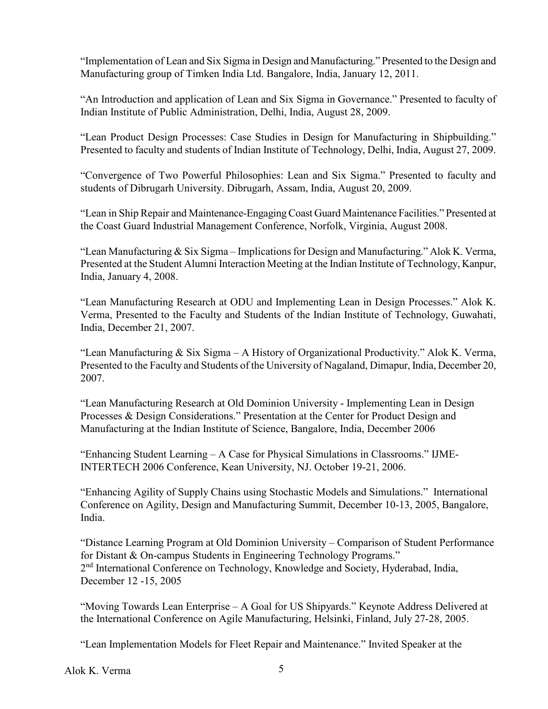"Implementation of Lean and Six Sigma in Design and Manufacturing." Presented to the Design and Manufacturing group of Timken India Ltd. Bangalore, India, January 12, 2011.

"An Introduction and application of Lean and Six Sigma in Governance." Presented to faculty of Indian Institute of Public Administration, Delhi, India, August 28, 2009.

"Lean Product Design Processes: Case Studies in Design for Manufacturing in Shipbuilding." Presented to faculty and students of Indian Institute of Technology, Delhi, India, August 27, 2009.

"Convergence of Two Powerful Philosophies: Lean and Six Sigma." Presented to faculty and students of Dibrugarh University. Dibrugarh, Assam, India, August 20, 2009.

"Lean in Ship Repair and Maintenance-Engaging Coast Guard Maintenance Facilities." Presented at the Coast Guard Industrial Management Conference, Norfolk, Virginia, August 2008.

"Lean Manufacturing & Six Sigma – Implications for Design and Manufacturing." Alok K. Verma, Presented at the Student Alumni Interaction Meeting at the Indian Institute of Technology, Kanpur, India, January 4, 2008.

"Lean Manufacturing Research at ODU and Implementing Lean in Design Processes." Alok K. Verma, Presented to the Faculty and Students of the Indian Institute of Technology, Guwahati, India, December 21, 2007.

"Lean Manufacturing  $\&$  Six Sigma – A History of Organizational Productivity." Alok K. Verma, Presented to the Faculty and Students of the University of Nagaland, Dimapur, India, December 20, 2007.

"Lean Manufacturing Research at Old Dominion University - Implementing Lean in Design Processes & Design Considerations." Presentation at the Center for Product Design and Manufacturing at the Indian Institute of Science, Bangalore, India, December 2006

"Enhancing Student Learning – A Case for Physical Simulations in Classrooms." IJME-INTERTECH 2006 Conference, Kean University, NJ. October 19-21, 2006.

"Enhancing Agility of Supply Chains using Stochastic Models and Simulations." International Conference on Agility, Design and Manufacturing Summit, December 10-13, 2005, Bangalore, India.

"Distance Learning Program at Old Dominion University – Comparison of Student Performance for Distant & On-campus Students in Engineering Technology Programs." 2<sup>nd</sup> International Conference on Technology, Knowledge and Society, Hyderabad, India, December 12 -15, 2005

"Moving Towards Lean Enterprise – A Goal for US Shipyards." Keynote Address Delivered at the International Conference on Agile Manufacturing, Helsinki, Finland, July 27-28, 2005.

"Lean Implementation Models for Fleet Repair and Maintenance." Invited Speaker at the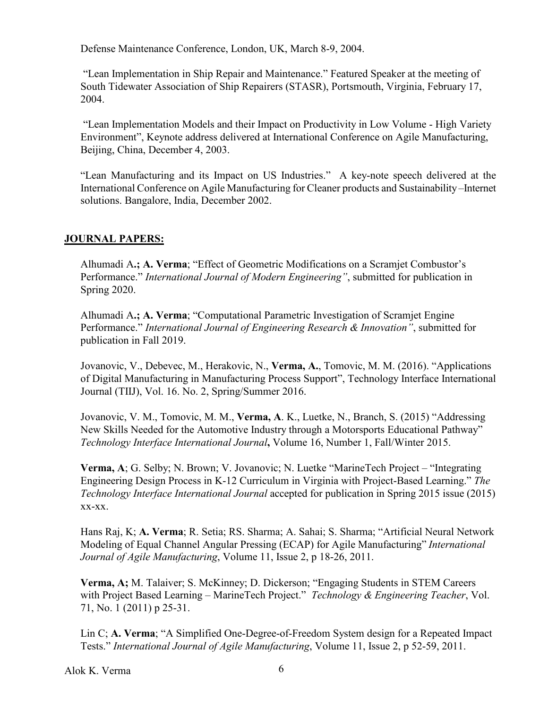Defense Maintenance Conference, London, UK, March 8-9, 2004.

"Lean Implementation in Ship Repair and Maintenance." Featured Speaker at the meeting of South Tidewater Association of Ship Repairers (STASR), Portsmouth, Virginia, February 17, 2004.

"Lean Implementation Models and their Impact on Productivity in Low Volume - High Variety Environment", Keynote address delivered at International Conference on Agile Manufacturing, Beijing, China, December 4, 2003.

"Lean Manufacturing and its Impact on US Industries." A key-note speech delivered at the International Conference on Agile Manufacturing for Cleaner products and Sustainability –Internet solutions. Bangalore, India, December 2002.

## **JOURNAL PAPERS:**

Alhumadi A**.; A. Verma**; "Effect of Geometric Modifications on a Scramjet Combustor's Performance." *International Journal of Modern Engineering"*, submitted for publication in Spring 2020.

Alhumadi A**.; A. Verma**; "Computational Parametric Investigation of Scramjet Engine Performance." *International Journal of Engineering Research & Innovation"*, submitted for publication in Fall 2019.

Jovanovic, V., Debevec, M., Herakovic, N., **Verma, A.**, Tomovic, M. M. (2016). "Applications of Digital Manufacturing in Manufacturing Process Support", Technology Interface International Journal (TIIJ), Vol. 16. No. 2, Spring/Summer 2016.

Jovanovic, V. M., Tomovic, M. M., **Verma, A**. K., Luetke, N., Branch, S. (2015) "Addressing New Skills Needed for the Automotive Industry through a Motorsports Educational Pathway" *Technology Interface International Journal***,** Volume 16, Number 1, Fall/Winter 2015.

**Verma, A**; G. Selby; N. Brown; V. Jovanovic; N. Luetke "MarineTech Project – "Integrating Engineering Design Process in K-12 Curriculum in Virginia with Project-Based Learning." *The Technology Interface International Journal* accepted for publication in Spring 2015 issue (2015) xx-xx.

Hans Raj, K; **A. Verma**; R. Setia; RS. Sharma; A. Sahai; S. Sharma; "Artificial Neural Network Modeling of Equal Channel Angular Pressing (ECAP) for Agile Manufacturing" *International Journal of Agile Manufacturing*, Volume 11, Issue 2, p 18-26, 2011.

**Verma, A;** M. Talaiver; S. McKinney; D. Dickerson; "Engaging Students in STEM Careers with Project Based Learning – MarineTech Project." *Technology & Engineering Teacher*, Vol. 71, No. 1 (2011) p 25-31.

Lin C; **A. Verma**; "A Simplified One-Degree-of-Freedom System design for a Repeated Impact Tests." *International Journal of Agile Manufacturing*, Volume 11, Issue 2, p 52-59, 2011.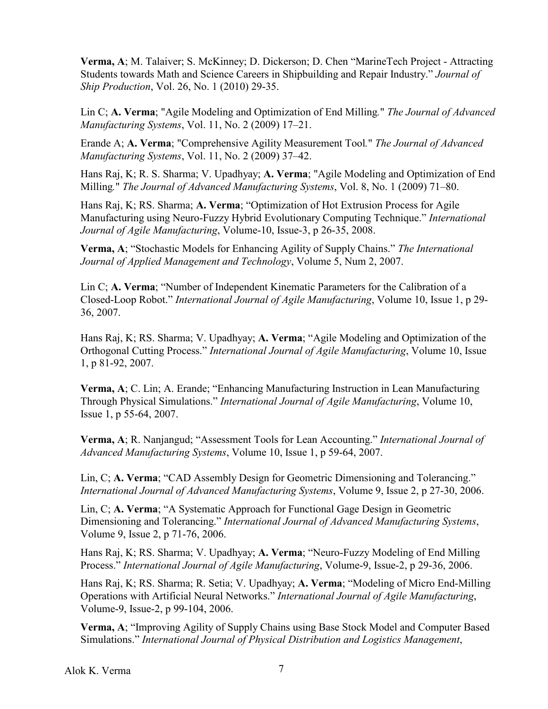**Verma, A**; M. Talaiver; S. McKinney; D. Dickerson; D. Chen "MarineTech Project - Attracting Students towards Math and Science Careers in Shipbuilding and Repair Industry." *Journal of Ship Production*, Vol. 26, No. 1 (2010) 29-35.

Lin C; **A. Verma**; "Agile Modeling and Optimization of End Milling*.*" *The Journal of Advanced Manufacturing Systems*, Vol. 11, No. 2 (2009) 17–21.

Erande A; **A. Verma**; "Comprehensive Agility Measurement Tool*.*" *The Journal of Advanced Manufacturing Systems*, Vol. 11, No. 2 (2009) 37–42.

Hans Raj, K; R. S. Sharma; V. Upadhyay; **A. Verma**; "Agile Modeling and Optimization of End Milling*.*" *The Journal of Advanced Manufacturing Systems*, Vol. 8, No. 1 (2009) 71–80.

Hans Raj, K; RS. Sharma; **A. Verma**; "Optimization of Hot Extrusion Process for Agile Manufacturing using Neuro-Fuzzy Hybrid Evolutionary Computing Technique." *International Journal of Agile Manufacturing*, Volume-10, Issue-3, p 26-35, 2008.

**Verma, A**; "Stochastic Models for Enhancing Agility of Supply Chains." *The International Journal of Applied Management and Technology*, Volume 5, Num 2, 2007.

Lin C; **A. Verma**; "Number of Independent Kinematic Parameters for the Calibration of a Closed-Loop Robot." *International Journal of Agile Manufacturing*, Volume 10, Issue 1, p 29- 36, 2007.

Hans Raj, K; RS. Sharma; V. Upadhyay; **A. Verma**; "Agile Modeling and Optimization of the Orthogonal Cutting Process." *International Journal of Agile Manufacturing*, Volume 10, Issue 1, p 81-92, 2007.

**Verma, A**; C. Lin; A. Erande; "Enhancing Manufacturing Instruction in Lean Manufacturing Through Physical Simulations." *International Journal of Agile Manufacturing*, Volume 10, Issue 1, p 55-64, 2007.

**Verma, A**; R. Nanjangud; "Assessment Tools for Lean Accounting." *International Journal of Advanced Manufacturing Systems*, Volume 10, Issue 1, p 59-64, 2007.

Lin, C; **A. Verma**; "CAD Assembly Design for Geometric Dimensioning and Tolerancing." *International Journal of Advanced Manufacturing Systems*, Volume 9, Issue 2, p 27-30, 2006.

Lin, C; **A. Verma**; "A Systematic Approach for Functional Gage Design in Geometric Dimensioning and Tolerancing." *International Journal of Advanced Manufacturing Systems*, Volume 9, Issue 2, p 71-76, 2006.

Hans Raj, K; RS. Sharma; V. Upadhyay; **A. Verma**; "Neuro-Fuzzy Modeling of End Milling Process." *International Journal of Agile Manufacturing*, Volume-9, Issue-2, p 29-36, 2006.

Hans Raj, K; RS. Sharma; R. Setia; V. Upadhyay; **A. Verma**; "Modeling of Micro End-Milling Operations with Artificial Neural Networks." *International Journal of Agile Manufacturing*, Volume-9, Issue-2, p 99-104, 2006.

**Verma, A**; "Improving Agility of Supply Chains using Base Stock Model and Computer Based Simulations." *International Journal of Physical Distribution and Logistics Management*,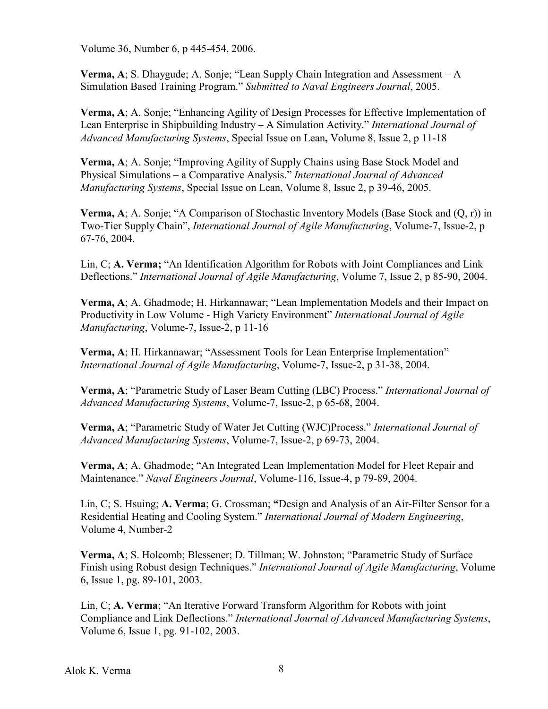Volume 36, Number 6, p 445-454, 2006.

**Verma, A**; S. Dhaygude; A. Sonje; "Lean Supply Chain Integration and Assessment – A Simulation Based Training Program." *Submitted to Naval Engineers Journal*, 2005.

**Verma, A**; A. Sonje; "Enhancing Agility of Design Processes for Effective Implementation of Lean Enterprise in Shipbuilding Industry – A Simulation Activity." *International Journal of Advanced Manufacturing Systems*, Special Issue on Lean**,** Volume 8, Issue 2, p 11-18

**Verma, A**; A. Sonje; "Improving Agility of Supply Chains using Base Stock Model and Physical Simulations – a Comparative Analysis." *International Journal of Advanced Manufacturing Systems*, Special Issue on Lean, Volume 8, Issue 2, p 39-46, 2005.

**Verma, A**; A. Sonje; "A Comparison of Stochastic Inventory Models (Base Stock and (Q, r)) in Two-Tier Supply Chain", *International Journal of Agile Manufacturing*, Volume-7, Issue-2, p 67-76, 2004.

Lin, C; **A. Verma;** "An Identification Algorithm for Robots with Joint Compliances and Link Deflections." *International Journal of Agile Manufacturing*, Volume 7, Issue 2, p 85-90, 2004.

**Verma, A**; A. Ghadmode; H. Hirkannawar; "Lean Implementation Models and their Impact on Productivity in Low Volume - High Variety Environment" *International Journal of Agile Manufacturing*, Volume-7, Issue-2, p 11-16

**Verma, A**; H. Hirkannawar; "Assessment Tools for Lean Enterprise Implementation" *International Journal of Agile Manufacturing*, Volume-7, Issue-2, p 31-38, 2004.

**Verma, A**; "Parametric Study of Laser Beam Cutting (LBC) Process." *International Journal of Advanced Manufacturing Systems*, Volume-7, Issue-2, p 65-68, 2004.

**Verma, A**; "Parametric Study of Water Jet Cutting (WJC)Process." *International Journal of Advanced Manufacturing Systems*, Volume-7, Issue-2, p 69-73, 2004.

**Verma, A**; A. Ghadmode; "An Integrated Lean Implementation Model for Fleet Repair and Maintenance." *Naval Engineers Journal*, Volume-116, Issue-4, p 79-89, 2004.

Lin, C; S. Hsuing; **A. Verma**; G. Crossman; **"**Design and Analysis of an Air-Filter Sensor for a Residential Heating and Cooling System." *International Journal of Modern Engineering*, Volume 4, Number-2

**Verma, A**; S. Holcomb; Blessener; D. Tillman; W. Johnston; "Parametric Study of Surface Finish using Robust design Techniques." *International Journal of Agile Manufacturing*, Volume 6, Issue 1, pg. 89-101, 2003.

Lin, C; **A. Verma**; "An Iterative Forward Transform Algorithm for Robots with joint Compliance and Link Deflections." *International Journal of Advanced Manufacturing Systems*, Volume 6, Issue 1, pg. 91-102, 2003.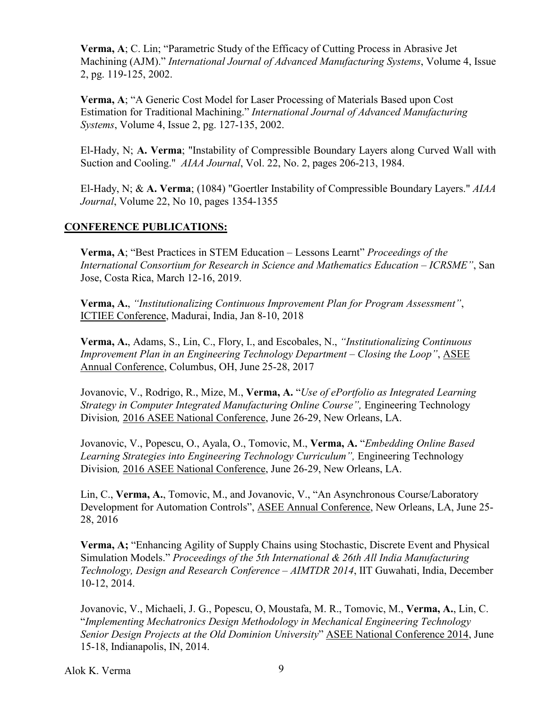**Verma, A**; C. Lin; "Parametric Study of the Efficacy of Cutting Process in Abrasive Jet Machining (AJM)." *International Journal of Advanced Manufacturing Systems*, Volume 4, Issue 2, pg. 119-125, 2002.

**Verma, A**; "A Generic Cost Model for Laser Processing of Materials Based upon Cost Estimation for Traditional Machining." *International Journal of Advanced Manufacturing Systems*, Volume 4, Issue 2, pg. 127-135, 2002.

El-Hady, N; **A. Verma**; "Instability of Compressible Boundary Layers along Curved Wall with Suction and Cooling." *AIAA Journal*, Vol. 22, No. 2, pages 206-213, 1984.

El-Hady, N; & **A. Verma**; (1084) "Goertler Instability of Compressible Boundary Layers." *AIAA Journal*, Volume 22, No 10, pages 1354-1355

## **CONFERENCE PUBLICATIONS:**

**Verma, A**; "Best Practices in STEM Education – Lessons Learnt" *Proceedings of the International Consortium for Research in Science and Mathematics Education – ICRSME"*, San Jose, Costa Rica, March 12-16, 2019.

**Verma, A.**, *"Institutionalizing Continuous Improvement Plan for Program Assessment"*, ICTIEE Conference, Madurai, India, Jan 8-10, 2018

**Verma, A.**, Adams, S., Lin, C., Flory, I., and Escobales, N., *"Institutionalizing Continuous Improvement Plan in an Engineering Technology Department – Closing the Loop"*, ASEE Annual Conference, Columbus, OH, June 25-28, 2017

Jovanovic, V., Rodrigo, R., Mize, M., **Verma, A.** "*Use of ePortfolio as Integrated Learning Strategy in Computer Integrated Manufacturing Online Course*", Engineering Technology Division*,* 2016 ASEE National Conference, June 26-29, New Orleans, LA.

Jovanovic, V., Popescu, O., Ayala, O., Tomovic, M., **Verma, A.** "*Embedding Online Based*  Learning Strategies into Engineering Technology Curriculum", Engineering Technology Division*,* 2016 ASEE National Conference, June 26-29, New Orleans, LA.

Lin, C., **Verma, A.**, Tomovic, M., and Jovanovic, V., "An Asynchronous Course/Laboratory Development for Automation Controls", ASEE Annual Conference, New Orleans, LA, June 25- 28, 2016

**Verma, A;** "Enhancing Agility of Supply Chains using Stochastic, Discrete Event and Physical Simulation Models." *Proceedings of the 5th International & 26th All India Manufacturing Technology, Design and Research Conference – AIMTDR 2014*, IIT Guwahati, India, December 10-12, 2014.

Jovanovic, V., Michaeli, J. G., Popescu, O, Moustafa, M. R., Tomovic, M., **Verma, A.**, Lin, C. "*Implementing Mechatronics Design Methodology in Mechanical Engineering Technology Senior Design Projects at the Old Dominion University*" ASEE National Conference 2014, June 15-18, Indianapolis, IN, 2014.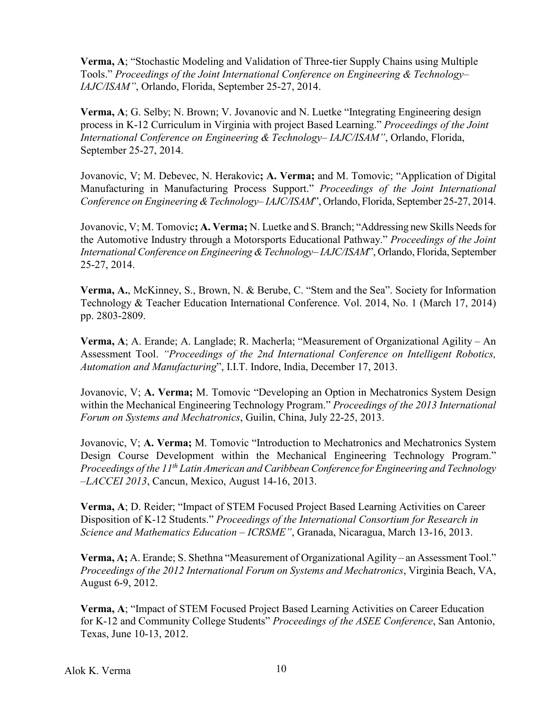**Verma, A**; "Stochastic Modeling and Validation of Three-tier Supply Chains using Multiple Tools." *Proceedings of the Joint International Conference on Engineering & Technology– IAJC/ISAM"*, Orlando, Florida, September 25-27, 2014.

**Verma, A**; G. Selby; N. Brown; V. Jovanovic and N. Luetke "Integrating Engineering design process in K-12 Curriculum in Virginia with project Based Learning." *Proceedings of the Joint International Conference on Engineering & Technology– IAJC/ISAM"*, Orlando, Florida, September 25-27, 2014.

Jovanovic, V; M. Debevec, N. Herakovic**; A. Verma;** and M. Tomovic; "Application of Digital Manufacturing in Manufacturing Process Support." *Proceedings of the Joint International Conference on Engineering & Technology– IAJC/ISAM*", Orlando, Florida, September 25-27, 2014.

Jovanovic, V; M. Tomovic**; A. Verma;** N. Luetke and S. Branch; "Addressing new Skills Needs for the Automotive Industry through a Motorsports Educational Pathway." *Proceedings of the Joint International Conference on Engineering & Technology– IAJC/ISAM*", Orlando, Florida, September 25-27, 2014.

**Verma, A.**, McKinney, S., Brown, N. & Berube, C. "Stem and the Sea". Society for Information Technology & Teacher Education International Conference. Vol. 2014, No. 1 (March 17, 2014) pp. 2803-2809.

**Verma, A**; A. Erande; A. Langlade; R. Macherla; "Measurement of Organizational Agility – An Assessment Tool. *"Proceedings of the 2nd International Conference on Intelligent Robotics, Automation and Manufacturing*", I.I.T. Indore, India, December 17, 2013.

Jovanovic, V; **A. Verma;** M. Tomovic "Developing an Option in Mechatronics System Design within the Mechanical Engineering Technology Program." *Proceedings of the 2013 International Forum on Systems and Mechatronics*, Guilin, China, July 22-25, 2013.

Jovanovic, V; **A. Verma;** M. Tomovic "Introduction to Mechatronics and Mechatronics System Design Course Development within the Mechanical Engineering Technology Program." *Proceedings of the 11th Latin American and Caribbean Conference for Engineering and Technology –LACCEI 2013*, Cancun, Mexico, August 14-16, 2013.

**Verma, A**; D. Reider; "Impact of STEM Focused Project Based Learning Activities on Career Disposition of K-12 Students." *Proceedings of the International Consortium for Research in Science and Mathematics Education – ICRSME"*, Granada, Nicaragua, March 13-16, 2013.

**Verma, A;** A. Erande; S. Shethna "Measurement of Organizational Agility – an Assessment Tool." *Proceedings of the 2012 International Forum on Systems and Mechatronics*, Virginia Beach, VA, August 6-9, 2012.

**Verma, A**; "Impact of STEM Focused Project Based Learning Activities on Career Education for K-12 and Community College Students" *Proceedings of the ASEE Conference*, San Antonio, Texas, June 10-13, 2012.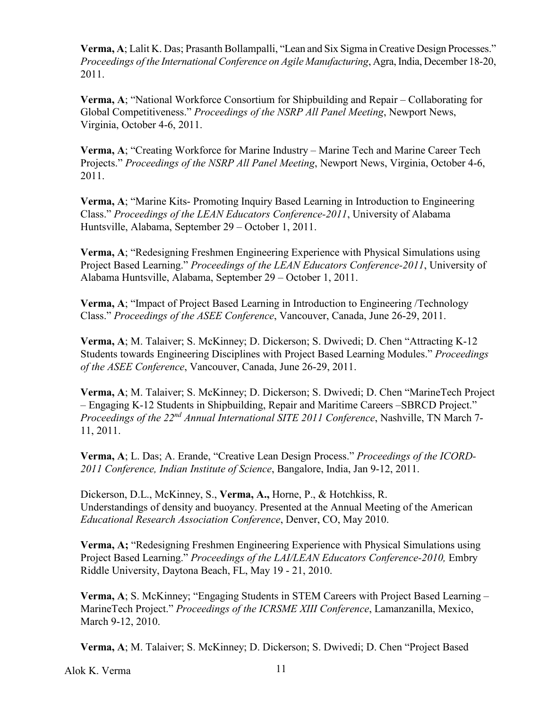**Verma, A**; Lalit K. Das; Prasanth Bollampalli, "Lean and Six Sigma in Creative Design Processes." *Proceedings of the International Conference on Agile Manufacturing*, Agra, India, December 18-20, 2011.

**Verma, A**; "National Workforce Consortium for Shipbuilding and Repair – Collaborating for Global Competitiveness." *Proceedings of the NSRP All Panel Meeting*, Newport News, Virginia, October 4-6, 2011.

**Verma, A**; "Creating Workforce for Marine Industry – Marine Tech and Marine Career Tech Projects." *Proceedings of the NSRP All Panel Meeting*, Newport News, Virginia, October 4-6, 2011.

**Verma, A**; "Marine Kits- Promoting Inquiry Based Learning in Introduction to Engineering Class." *Proceedings of the LEAN Educators Conference-2011*, University of Alabama Huntsville, Alabama, September 29 – October 1, 2011.

**Verma, A**; "Redesigning Freshmen Engineering Experience with Physical Simulations using Project Based Learning." *Proceedings of the LEAN Educators Conference-2011*, University of Alabama Huntsville, Alabama, September 29 – October 1, 2011.

**Verma, A**; "Impact of Project Based Learning in Introduction to Engineering /Technology Class." *Proceedings of the ASEE Conference*, Vancouver, Canada, June 26-29, 2011.

**Verma, A**; M. Talaiver; S. McKinney; D. Dickerson; S. Dwivedi; D. Chen "Attracting K-12 Students towards Engineering Disciplines with Project Based Learning Modules." *Proceedings of the ASEE Conference*, Vancouver, Canada, June 26-29, 2011.

**Verma, A**; M. Talaiver; S. McKinney; D. Dickerson; S. Dwivedi; D. Chen "MarineTech Project – Engaging K-12 Students in Shipbuilding, Repair and Maritime Careers –SBRCD Project." *Proceedings of the 22nd Annual International SITE 2011 Conference*, Nashville, TN March 7- 11, 2011.

**Verma, A**; L. Das; A. Erande, "Creative Lean Design Process." *Proceedings of the ICORD-2011 Conference, Indian Institute of Science*, Bangalore, India, Jan 9-12, 2011.

Dickerson, D.L., McKinney, S., **Verma, A.,** Horne, P., & Hotchkiss, R. Understandings of density and buoyancy. Presented at the Annual Meeting of the American *Educational Research Association Conference*, Denver, CO, May 2010.

**Verma, A;** "Redesigning Freshmen Engineering Experience with Physical Simulations using Project Based Learning." *Proceedings of the LAI/LEAN Educators Conference-2010,* Embry Riddle University, Daytona Beach, FL, May 19 - 21, 2010.

**Verma, A**; S. McKinney; "Engaging Students in STEM Careers with Project Based Learning – MarineTech Project." *Proceedings of the ICRSME XIII Conference*, Lamanzanilla, Mexico, March 9-12, 2010.

**Verma, A**; M. Talaiver; S. McKinney; D. Dickerson; S. Dwivedi; D. Chen "Project Based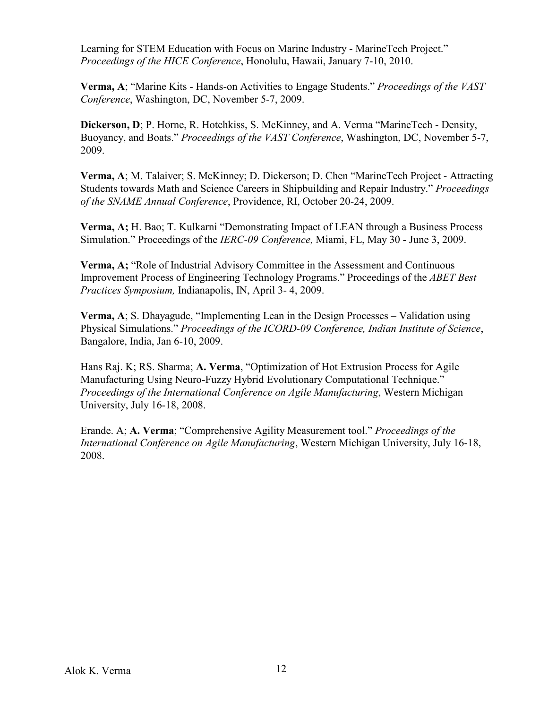Learning for STEM Education with Focus on Marine Industry - MarineTech Project." *Proceedings of the HICE Conference*, Honolulu, Hawaii, January 7-10, 2010.

**Verma, A**; "Marine Kits - Hands-on Activities to Engage Students." *Proceedings of the VAST Conference*, Washington, DC, November 5-7, 2009.

**Dickerson, D**; P. Horne, R. Hotchkiss, S. McKinney, and A. Verma "MarineTech - Density, Buoyancy, and Boats." *Proceedings of the VAST Conference*, Washington, DC, November 5-7, 2009.

**Verma, A**; M. Talaiver; S. McKinney; D. Dickerson; D. Chen "MarineTech Project - Attracting Students towards Math and Science Careers in Shipbuilding and Repair Industry." *Proceedings of the SNAME Annual Conference*, Providence, RI, October 20-24, 2009.

**Verma, A;** H. Bao; T. Kulkarni "Demonstrating Impact of LEAN through a Business Process Simulation." Proceedings of the *IERC-09 Conference,* Miami, FL, May 30 - June 3, 2009.

**Verma, A;** "Role of Industrial Advisory Committee in the Assessment and Continuous Improvement Process of Engineering Technology Programs." Proceedings of the *ABET Best Practices Symposium,* Indianapolis, IN, April 3- 4, 2009.

**Verma, A**; S. Dhayagude, "Implementing Lean in the Design Processes – Validation using Physical Simulations." *Proceedings of the ICORD-09 Conference, Indian Institute of Science*, Bangalore, India, Jan 6-10, 2009.

Hans Raj. K; RS. Sharma; **A. Verma**, "Optimization of Hot Extrusion Process for Agile Manufacturing Using Neuro-Fuzzy Hybrid Evolutionary Computational Technique." *Proceedings of the International Conference on Agile Manufacturing*, Western Michigan University, July 16-18, 2008.

Erande. A; **A. Verma**; "Comprehensive Agility Measurement tool." *Proceedings of the International Conference on Agile Manufacturing*, Western Michigan University, July 16-18, 2008.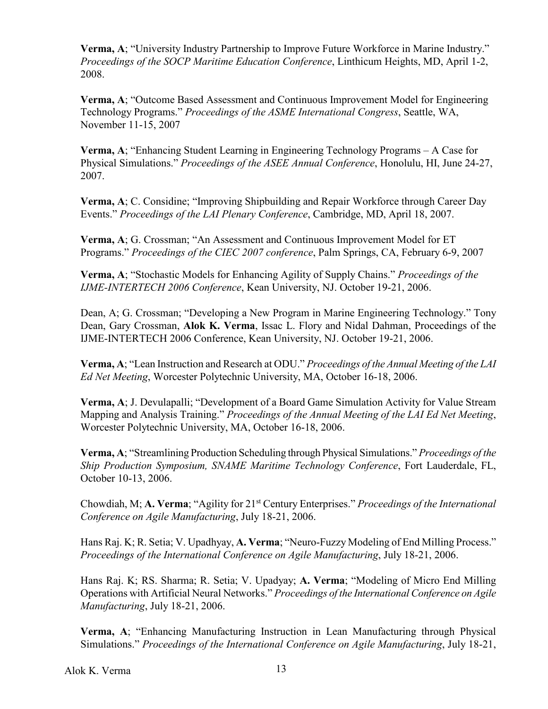**Verma, A**; "University Industry Partnership to Improve Future Workforce in Marine Industry." *Proceedings of the SOCP Maritime Education Conference*, Linthicum Heights, MD, April 1-2, 2008.

**Verma, A**; "Outcome Based Assessment and Continuous Improvement Model for Engineering Technology Programs." *Proceedings of the ASME International Congress*, Seattle, WA, November 11-15, 2007

**Verma, A**; "Enhancing Student Learning in Engineering Technology Programs – A Case for Physical Simulations." *Proceedings of the ASEE Annual Conference*, Honolulu, HI, June 24-27, 2007.

**Verma, A**; C. Considine; "Improving Shipbuilding and Repair Workforce through Career Day Events." *Proceedings of the LAI Plenary Conference*, Cambridge, MD, April 18, 2007.

**Verma, A**; G. Crossman; "An Assessment and Continuous Improvement Model for ET Programs." *Proceedings of the CIEC 2007 conference*, Palm Springs, CA, February 6-9, 2007

**Verma, A**; "Stochastic Models for Enhancing Agility of Supply Chains." *Proceedings of the IJME-INTERTECH 2006 Conference*, Kean University, NJ. October 19-21, 2006.

Dean, A; G. Crossman; "Developing a New Program in Marine Engineering Technology." Tony Dean, Gary Crossman, **Alok K. Verma**, Issac L. Flory and Nidal Dahman, Proceedings of the IJME-INTERTECH 2006 Conference, Kean University, NJ. October 19-21, 2006.

**Verma, A**; "Lean Instruction and Research at ODU." *Proceedings of the Annual Meeting of the LAI Ed Net Meeting*, Worcester Polytechnic University, MA, October 16-18, 2006.

**Verma, A**; J. Devulapalli; "Development of a Board Game Simulation Activity for Value Stream Mapping and Analysis Training." *Proceedings of the Annual Meeting of the LAI Ed Net Meeting*, Worcester Polytechnic University, MA, October 16-18, 2006.

**Verma, A**; "Streamlining Production Scheduling through Physical Simulations." *Proceedings of the Ship Production Symposium, SNAME Maritime Technology Conference*, Fort Lauderdale, FL, October 10-13, 2006.

Chowdiah, M; **A. Verma**; "Agility for 21st Century Enterprises." *Proceedings of the International Conference on Agile Manufacturing*, July 18-21, 2006.

Hans Raj. K; R. Setia; V. Upadhyay, **A. Verma**; "Neuro-Fuzzy Modeling of End Milling Process." *Proceedings of the International Conference on Agile Manufacturing*, July 18-21, 2006.

Hans Raj. K; RS. Sharma; R. Setia; V. Upadyay; **A. Verma**; "Modeling of Micro End Milling Operations with Artificial Neural Networks." *Proceedings of the International Conference on Agile Manufacturing*, July 18-21, 2006.

**Verma, A**; "Enhancing Manufacturing Instruction in Lean Manufacturing through Physical Simulations." *Proceedings of the International Conference on Agile Manufacturing*, July 18-21,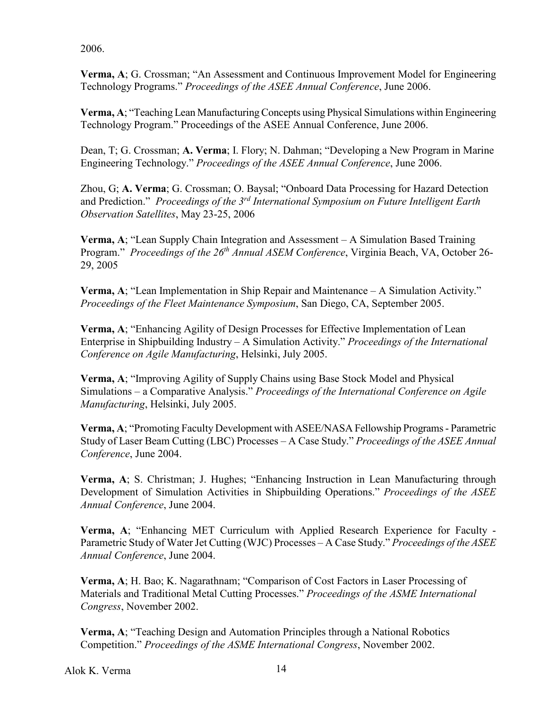2006.

**Verma, A**; G. Crossman; "An Assessment and Continuous Improvement Model for Engineering Technology Programs." *Proceedings of the ASEE Annual Conference*, June 2006.

**Verma, A**; "Teaching Lean Manufacturing Concepts using Physical Simulations within Engineering Technology Program." Proceedings of the ASEE Annual Conference, June 2006.

Dean, T; G. Crossman; **A. Verma**; I. Flory; N. Dahman; "Developing a New Program in Marine Engineering Technology." *Proceedings of the ASEE Annual Conference*, June 2006.

Zhou, G; **A. Verma**; G. Crossman; O. Baysal; "Onboard Data Processing for Hazard Detection and Prediction." *Proceedings of the 3rd International Symposium on Future Intelligent Earth Observation Satellites*, May 23-25, 2006

**Verma, A**; "Lean Supply Chain Integration and Assessment – A Simulation Based Training Program." *Proceedings of the 26th Annual ASEM Conference*, Virginia Beach, VA, October 26- 29, 2005

**Verma, A**; "Lean Implementation in Ship Repair and Maintenance – A Simulation Activity." *Proceedings of the Fleet Maintenance Symposium*, San Diego, CA, September 2005.

**Verma, A**; "Enhancing Agility of Design Processes for Effective Implementation of Lean Enterprise in Shipbuilding Industry – A Simulation Activity." *Proceedings of the International Conference on Agile Manufacturing*, Helsinki, July 2005.

**Verma, A**; "Improving Agility of Supply Chains using Base Stock Model and Physical Simulations – a Comparative Analysis." *Proceedings of the International Conference on Agile Manufacturing*, Helsinki, July 2005.

**Verma, A**; "Promoting Faculty Development with ASEE/NASA Fellowship Programs - Parametric Study of Laser Beam Cutting (LBC) Processes – A Case Study." *Proceedings of the ASEE Annual Conference*, June 2004.

**Verma, A**; S. Christman; J. Hughes; "Enhancing Instruction in Lean Manufacturing through Development of Simulation Activities in Shipbuilding Operations." *Proceedings of the ASEE Annual Conference*, June 2004.

**Verma, A**; "Enhancing MET Curriculum with Applied Research Experience for Faculty - Parametric Study of Water Jet Cutting (WJC) Processes – A Case Study." *Proceedings of the ASEE Annual Conference*, June 2004.

**Verma, A**; H. Bao; K. Nagarathnam; "Comparison of Cost Factors in Laser Processing of Materials and Traditional Metal Cutting Processes." *Proceedings of the ASME International Congress*, November 2002.

**Verma, A**; "Teaching Design and Automation Principles through a National Robotics Competition." *Proceedings of the ASME International Congress*, November 2002.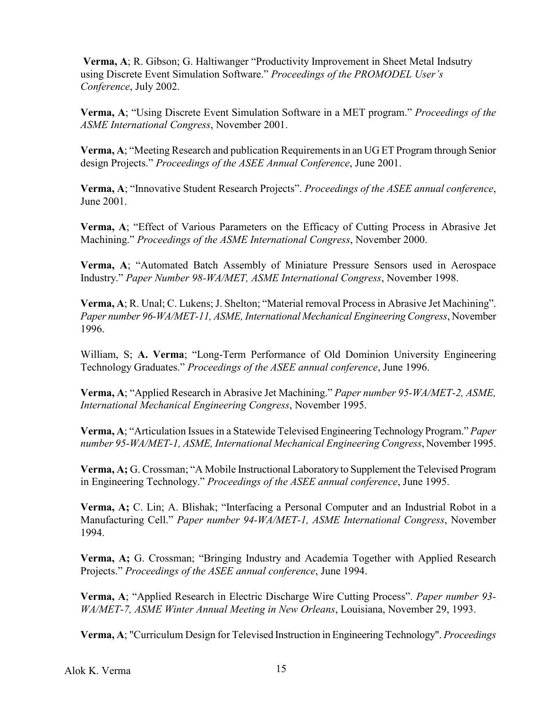**Verma, A**; R. Gibson; G. Haltiwanger "Productivity Improvement in Sheet Metal Indsutry using Discrete Event Simulation Software." *Proceedings of the PROMODEL User's Conference*, July 2002.

**Verma, A**; "Using Discrete Event Simulation Software in a MET program." *Proceedings of the ASME International Congress*, November 2001.

**Verma, A**; "Meeting Research and publication Requirements in an UG ET Program through Senior design Projects." *Proceedings of the ASEE Annual Conference*, June 2001.

**Verma, A**; "Innovative Student Research Projects". *Proceedings of the ASEE annual conference*, June 2001.

**Verma, A**; "Effect of Various Parameters on the Efficacy of Cutting Process in Abrasive Jet Machining." *Proceedings of the ASME International Congress*, November 2000.

**Verma, A**; "Automated Batch Assembly of Miniature Pressure Sensors used in Aerospace Industry." *Paper Number 98-WA/MET, ASME International Congress*, November 1998.

**Verma, A**; R. Unal; C. Lukens; J. Shelton; "Material removal Process in Abrasive Jet Machining". *Paper number 96-WA/MET-11, ASME, International Mechanical Engineering Congress*, November 1996.

William, S; **A. Verma**; "Long-Term Performance of Old Dominion University Engineering Technology Graduates." *Proceedings of the ASEE annual conference*, June 1996.

**Verma, A**; "Applied Research in Abrasive Jet Machining." *Paper number 95-WA/MET-2, ASME, International Mechanical Engineering Congress*, November 1995.

**Verma, A**; "Articulation Issues in a Statewide Televised Engineering Technology Program." *Paper number 95-WA/MET-1, ASME, International Mechanical Engineering Congress*, November 1995.

**Verma, A;** G. Crossman; "A Mobile Instructional Laboratory to Supplement the Televised Program in Engineering Technology." *Proceedings of the ASEE annual conference*, June 1995.

**Verma, A;** C. Lin; A. Blishak; "Interfacing a Personal Computer and an Industrial Robot in a Manufacturing Cell." *Paper number 94-WA/MET-1, ASME International Congress*, November 1994.

**Verma, A;** G. Crossman; "Bringing Industry and Academia Together with Applied Research Projects." *Proceedings of the ASEE annual conference*, June 1994.

**Verma, A**; "Applied Research in Electric Discharge Wire Cutting Process". *Paper number 93- WA/MET-7, ASME Winter Annual Meeting in New Orleans*, Louisiana, November 29, 1993.

**Verma, A**; "Curriculum Design for Televised Instruction in Engineering Technology". *Proceedings*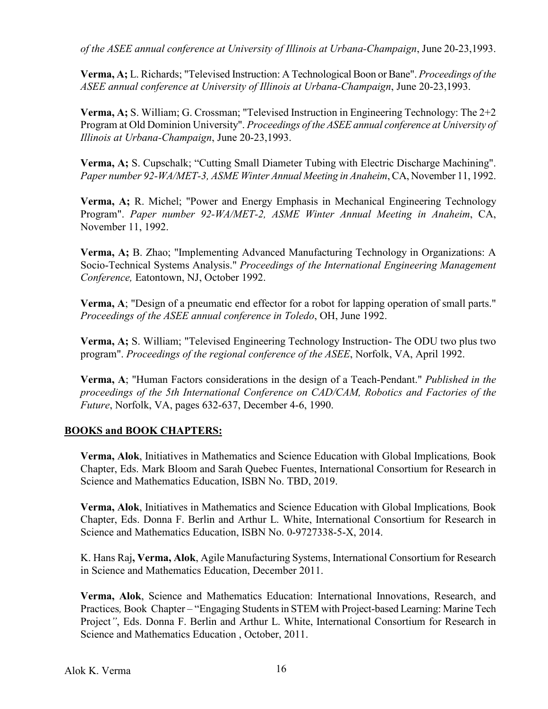*of the ASEE annual conference at University of Illinois at Urbana-Champaign*, June 20-23,1993.

**Verma, A;** L. Richards; "Televised Instruction: A Technological Boon or Bane". *Proceedings of the ASEE annual conference at University of Illinois at Urbana-Champaign*, June 20-23,1993.

**Verma, A;** S. William; G. Crossman; "Televised Instruction in Engineering Technology: The 2+2 Program at Old Dominion University". *Proceedings of the ASEE annual conference at University of Illinois at Urbana-Champaign*, June 20-23,1993.

**Verma, A;** S. Cupschalk; "Cutting Small Diameter Tubing with Electric Discharge Machining". *Paper number 92-WA/MET-3, ASME Winter Annual Meeting in Anaheim*, CA, November 11, 1992.

**Verma, A;** R. Michel; "Power and Energy Emphasis in Mechanical Engineering Technology Program". *Paper number 92-WA/MET-2, ASME Winter Annual Meeting in Anaheim*, CA, November 11, 1992.

**Verma, A;** B. Zhao; "Implementing Advanced Manufacturing Technology in Organizations: A Socio-Technical Systems Analysis." *Proceedings of the International Engineering Management Conference,* Eatontown, NJ, October 1992.

**Verma, A**; "Design of a pneumatic end effector for a robot for lapping operation of small parts." *Proceedings of the ASEE annual conference in Toledo*, OH, June 1992.

**Verma, A;** S. William; "Televised Engineering Technology Instruction- The ODU two plus two program". *Proceedings of the regional conference of the ASEE*, Norfolk, VA, April 1992.

**Verma, A**; "Human Factors considerations in the design of a Teach-Pendant." *Published in the proceedings of the 5th International Conference on CAD/CAM, Robotics and Factories of the Future*, Norfolk, VA, pages 632-637, December 4-6, 1990.

## **BOOKS and BOOK CHAPTERS:**

**Verma, Alok**, Initiatives in Mathematics and Science Education with Global Implications*,* Book Chapter, Eds. Mark Bloom and Sarah Quebec Fuentes, International Consortium for Research in Science and Mathematics Education, ISBN No. TBD, 2019.

**Verma, Alok**, Initiatives in Mathematics and Science Education with Global Implications*,* Book Chapter, Eds. Donna F. Berlin and Arthur L. White, International Consortium for Research in Science and Mathematics Education, ISBN No. 0-9727338-5-X, 2014.

K. Hans Raj**, Verma, Alok**, Agile Manufacturing Systems, International Consortium for Research in Science and Mathematics Education, December 2011.

**Verma, Alok**, Science and Mathematics Education: International Innovations, Research, and Practices*,* Book Chapter – "Engaging Students in STEM with Project-based Learning: Marine Tech Project*"*, Eds. Donna F. Berlin and Arthur L. White, International Consortium for Research in Science and Mathematics Education , October, 2011.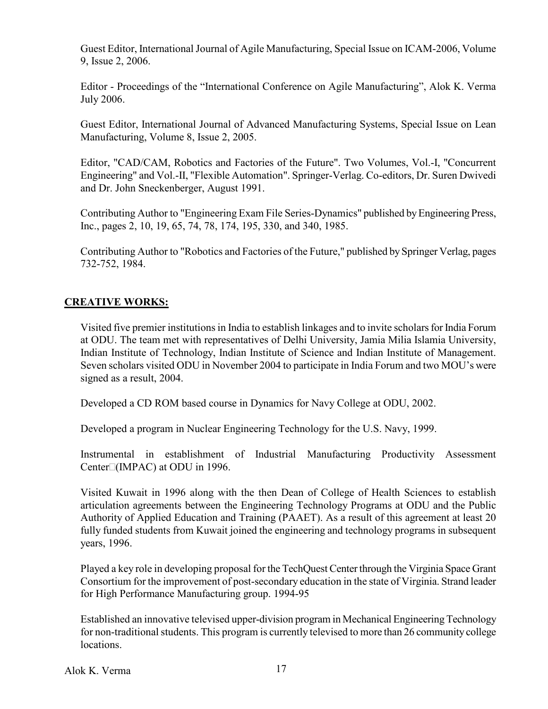Guest Editor, International Journal of Agile Manufacturing, Special Issue on ICAM-2006, Volume 9, Issue 2, 2006.

Editor - Proceedings of the "International Conference on Agile Manufacturing", Alok K. Verma July 2006.

Guest Editor, International Journal of Advanced Manufacturing Systems, Special Issue on Lean Manufacturing, Volume 8, Issue 2, 2005.

Editor, "CAD/CAM, Robotics and Factories of the Future". Two Volumes, Vol.-I, "Concurrent Engineering" and Vol.-II, "Flexible Automation". Springer-Verlag. Co-editors, Dr. Suren Dwivedi and Dr. John Sneckenberger, August 1991.

Contributing Author to "Engineering Exam File Series-Dynamics" published by Engineering Press, Inc., pages 2, 10, 19, 65, 74, 78, 174, 195, 330, and 340, 1985.

Contributing Author to "Robotics and Factories of the Future," published by Springer Verlag, pages 732-752, 1984.

## **CREATIVE WORKS:**

Visited five premier institutions in India to establish linkages and to invite scholars for India Forum at ODU. The team met with representatives of Delhi University, Jamia Milia Islamia University, Indian Institute of Technology, Indian Institute of Science and Indian Institute of Management. Seven scholars visited ODU in November 2004 to participate in India Forum and two MOU's were signed as a result, 2004.

Developed a CD ROM based course in Dynamics for Navy College at ODU, 2002.

Developed a program in Nuclear Engineering Technology for the U.S. Navy, 1999.

Instrumental in establishment of Industrial Manufacturing Productivity Assessment Center□(IMPAC) at ODU in 1996.

Visited Kuwait in 1996 along with the then Dean of College of Health Sciences to establish articulation agreements between the Engineering Technology Programs at ODU and the Public Authority of Applied Education and Training (PAAET). As a result of this agreement at least 20 fully funded students from Kuwait joined the engineering and technology programs in subsequent years, 1996.

Played a key role in developing proposal for the TechQuest Center through the Virginia Space Grant Consortium for the improvement of post-secondary education in the state of Virginia. Strand leader for High Performance Manufacturing group. 1994-95

Established an innovative televised upper-division program in Mechanical Engineering Technology for non-traditional students. This program is currently televised to more than 26 community college locations.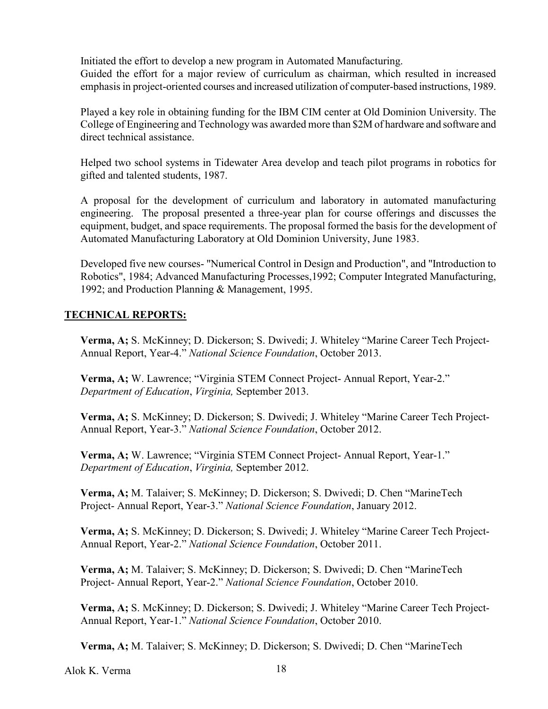Initiated the effort to develop a new program in Automated Manufacturing.

Guided the effort for a major review of curriculum as chairman, which resulted in increased emphasis in project-oriented courses and increased utilization of computer-based instructions, 1989.

Played a key role in obtaining funding for the IBM CIM center at Old Dominion University. The College of Engineering and Technology was awarded more than \$2M of hardware and software and direct technical assistance.

Helped two school systems in Tidewater Area develop and teach pilot programs in robotics for gifted and talented students, 1987.

A proposal for the development of curriculum and laboratory in automated manufacturing engineering. The proposal presented a three-year plan for course offerings and discusses the equipment, budget, and space requirements. The proposal formed the basis for the development of Automated Manufacturing Laboratory at Old Dominion University, June 1983.

Developed five new courses- "Numerical Control in Design and Production", and "Introduction to Robotics", 1984; Advanced Manufacturing Processes,1992; Computer Integrated Manufacturing, 1992; and Production Planning & Management, 1995.

## **TECHNICAL REPORTS:**

**Verma, A;** S. McKinney; D. Dickerson; S. Dwivedi; J. Whiteley "Marine Career Tech Project-Annual Report, Year-4." *National Science Foundation*, October 2013.

**Verma, A;** W. Lawrence; "Virginia STEM Connect Project- Annual Report, Year-2." *Department of Education*, *Virginia,* September 2013.

**Verma, A;** S. McKinney; D. Dickerson; S. Dwivedi; J. Whiteley "Marine Career Tech Project-Annual Report, Year-3." *National Science Foundation*, October 2012.

**Verma, A;** W. Lawrence; "Virginia STEM Connect Project- Annual Report, Year-1." *Department of Education*, *Virginia,* September 2012.

**Verma, A;** M. Talaiver; S. McKinney; D. Dickerson; S. Dwivedi; D. Chen "MarineTech Project- Annual Report, Year-3." *National Science Foundation*, January 2012.

**Verma, A;** S. McKinney; D. Dickerson; S. Dwivedi; J. Whiteley "Marine Career Tech Project-Annual Report, Year-2." *National Science Foundation*, October 2011.

**Verma, A;** M. Talaiver; S. McKinney; D. Dickerson; S. Dwivedi; D. Chen "MarineTech Project- Annual Report, Year-2." *National Science Foundation*, October 2010.

**Verma, A;** S. McKinney; D. Dickerson; S. Dwivedi; J. Whiteley "Marine Career Tech Project-Annual Report, Year-1." *National Science Foundation*, October 2010.

**Verma, A;** M. Talaiver; S. McKinney; D. Dickerson; S. Dwivedi; D. Chen "MarineTech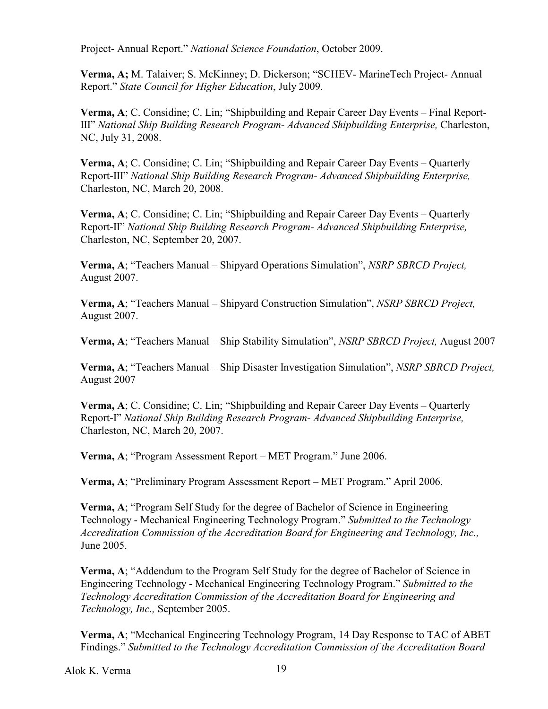Project- Annual Report." *National Science Foundation*, October 2009.

**Verma, A;** M. Talaiver; S. McKinney; D. Dickerson; "SCHEV- MarineTech Project- Annual Report." *State Council for Higher Education*, July 2009.

**Verma, A**; C. Considine; C. Lin; "Shipbuilding and Repair Career Day Events – Final Report-III" *National Ship Building Research Program- Advanced Shipbuilding Enterprise,* Charleston, NC, July 31, 2008.

**Verma, A**; C. Considine; C. Lin; "Shipbuilding and Repair Career Day Events – Quarterly Report-III" *National Ship Building Research Program- Advanced Shipbuilding Enterprise,* Charleston, NC, March 20, 2008.

**Verma, A**; C. Considine; C. Lin; "Shipbuilding and Repair Career Day Events – Quarterly Report-II" *National Ship Building Research Program- Advanced Shipbuilding Enterprise,* Charleston, NC, September 20, 2007.

**Verma, A**; "Teachers Manual – Shipyard Operations Simulation", *NSRP SBRCD Project,* August 2007.

**Verma, A**; "Teachers Manual – Shipyard Construction Simulation", *NSRP SBRCD Project,* August 2007.

**Verma, A**; "Teachers Manual – Ship Stability Simulation", *NSRP SBRCD Project,* August 2007

**Verma, A**; "Teachers Manual – Ship Disaster Investigation Simulation", *NSRP SBRCD Project,* August 2007

**Verma, A**; C. Considine; C. Lin; "Shipbuilding and Repair Career Day Events – Quarterly Report-I" *National Ship Building Research Program- Advanced Shipbuilding Enterprise,* Charleston, NC, March 20, 2007.

**Verma, A**; "Program Assessment Report – MET Program." June 2006.

**Verma, A**; "Preliminary Program Assessment Report – MET Program." April 2006.

**Verma, A**; "Program Self Study for the degree of Bachelor of Science in Engineering Technology - Mechanical Engineering Technology Program." *Submitted to the Technology Accreditation Commission of the Accreditation Board for Engineering and Technology, Inc.,* June 2005.

**Verma, A**; "Addendum to the Program Self Study for the degree of Bachelor of Science in Engineering Technology - Mechanical Engineering Technology Program." *Submitted to the Technology Accreditation Commission of the Accreditation Board for Engineering and Technology, Inc.,* September 2005.

**Verma, A**; "Mechanical Engineering Technology Program, 14 Day Response to TAC of ABET Findings." *Submitted to the Technology Accreditation Commission of the Accreditation Board*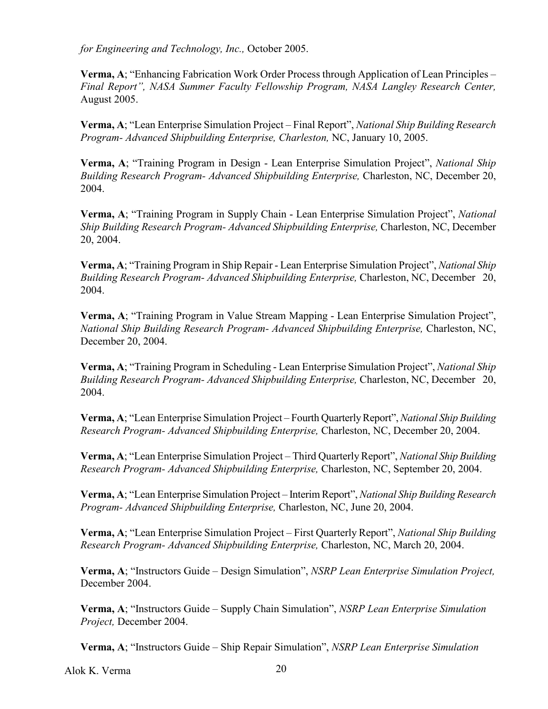*for Engineering and Technology, Inc.,* October 2005.

**Verma, A**; "Enhancing Fabrication Work Order Process through Application of Lean Principles – *Final Report", NASA Summer Faculty Fellowship Program, NASA Langley Research Center,*  August 2005.

**Verma, A**; "Lean Enterprise Simulation Project – Final Report", *National Ship Building Research Program- Advanced Shipbuilding Enterprise, Charleston,* NC, January 10, 2005.

**Verma, A**; "Training Program in Design - Lean Enterprise Simulation Project", *National Ship Building Research Program- Advanced Shipbuilding Enterprise,* Charleston, NC, December 20, 2004.

**Verma, A**; "Training Program in Supply Chain - Lean Enterprise Simulation Project", *National Ship Building Research Program- Advanced Shipbuilding Enterprise,* Charleston, NC, December 20, 2004.

**Verma, A**; "Training Program in Ship Repair - Lean Enterprise Simulation Project", *National Ship Building Research Program- Advanced Shipbuilding Enterprise,* Charleston, NC, December 20, 2004.

**Verma, A**; "Training Program in Value Stream Mapping - Lean Enterprise Simulation Project", *National Ship Building Research Program- Advanced Shipbuilding Enterprise,* Charleston, NC, December 20, 2004.

**Verma, A**; "Training Program in Scheduling - Lean Enterprise Simulation Project", *National Ship Building Research Program- Advanced Shipbuilding Enterprise,* Charleston, NC, December 20, 2004.

**Verma, A**; "Lean Enterprise Simulation Project – Fourth Quarterly Report", *National Ship Building Research Program- Advanced Shipbuilding Enterprise,* Charleston, NC, December 20, 2004.

**Verma, A**; "Lean Enterprise Simulation Project – Third Quarterly Report", *National Ship Building Research Program- Advanced Shipbuilding Enterprise,* Charleston, NC, September 20, 2004.

**Verma, A**; "Lean Enterprise Simulation Project – Interim Report", *National Ship Building Research Program- Advanced Shipbuilding Enterprise,* Charleston, NC, June 20, 2004.

**Verma, A**; "Lean Enterprise Simulation Project – First Quarterly Report", *National Ship Building Research Program- Advanced Shipbuilding Enterprise,* Charleston, NC, March 20, 2004.

**Verma, A**; "Instructors Guide – Design Simulation", *NSRP Lean Enterprise Simulation Project,* December 2004.

**Verma, A**; "Instructors Guide – Supply Chain Simulation", *NSRP Lean Enterprise Simulation Project,* December 2004.

**Verma, A**; "Instructors Guide – Ship Repair Simulation", *NSRP Lean Enterprise Simulation*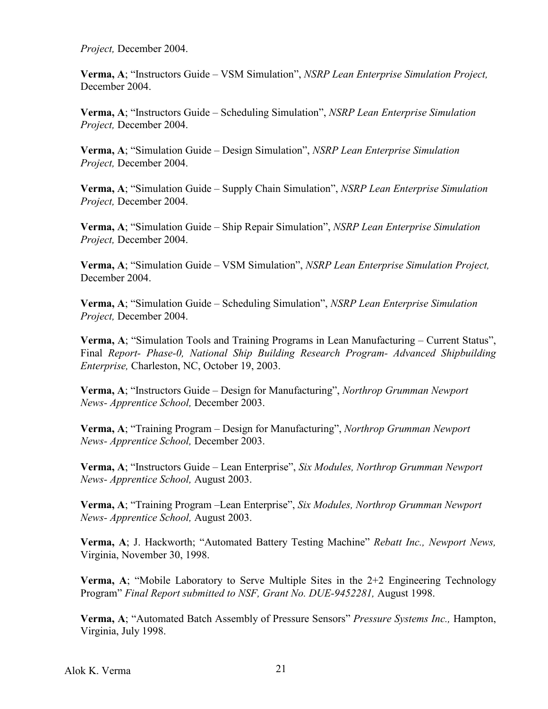*Project,* December 2004.

**Verma, A**; "Instructors Guide – VSM Simulation", *NSRP Lean Enterprise Simulation Project,* December 2004.

**Verma, A**; "Instructors Guide – Scheduling Simulation", *NSRP Lean Enterprise Simulation Project,* December 2004.

**Verma, A**; "Simulation Guide – Design Simulation", *NSRP Lean Enterprise Simulation Project,* December 2004.

**Verma, A**; "Simulation Guide – Supply Chain Simulation", *NSRP Lean Enterprise Simulation Project,* December 2004.

**Verma, A**; "Simulation Guide – Ship Repair Simulation", *NSRP Lean Enterprise Simulation Project,* December 2004.

**Verma, A**; "Simulation Guide – VSM Simulation", *NSRP Lean Enterprise Simulation Project,* December 2004.

**Verma, A**; "Simulation Guide – Scheduling Simulation", *NSRP Lean Enterprise Simulation Project,* December 2004.

**Verma, A**; "Simulation Tools and Training Programs in Lean Manufacturing – Current Status", Final *Report- Phase-0, National Ship Building Research Program- Advanced Shipbuilding Enterprise,* Charleston, NC, October 19, 2003.

**Verma, A**; "Instructors Guide – Design for Manufacturing", *Northrop Grumman Newport News- Apprentice School,* December 2003.

**Verma, A**; "Training Program – Design for Manufacturing", *Northrop Grumman Newport News- Apprentice School,* December 2003.

**Verma, A**; "Instructors Guide – Lean Enterprise", *Six Modules, Northrop Grumman Newport News- Apprentice School,* August 2003.

**Verma, A**; "Training Program –Lean Enterprise", *Six Modules, Northrop Grumman Newport News- Apprentice School,* August 2003.

**Verma, A**; J. Hackworth; "Automated Battery Testing Machine" *Rebatt Inc., Newport News,* Virginia, November 30, 1998.

**Verma, A**; "Mobile Laboratory to Serve Multiple Sites in the 2+2 Engineering Technology Program" *Final Report submitted to NSF, Grant No. DUE-9452281,* August 1998.

**Verma, A**; "Automated Batch Assembly of Pressure Sensors" *Pressure Systems Inc.,* Hampton, Virginia, July 1998.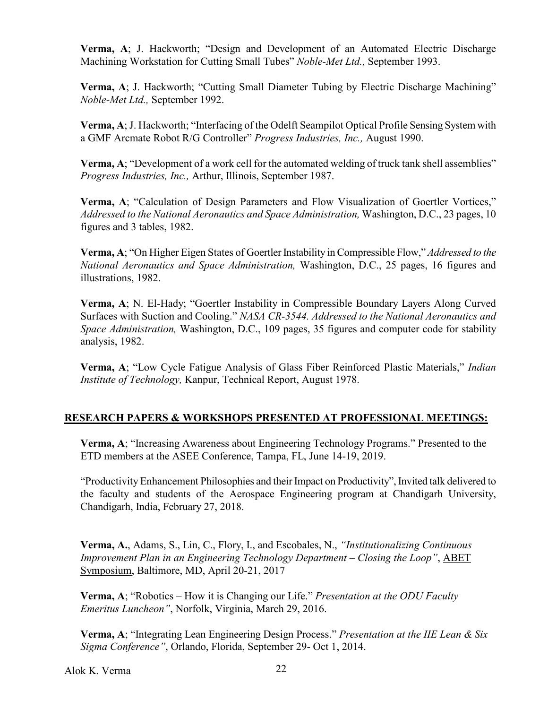**Verma, A**; J. Hackworth; "Design and Development of an Automated Electric Discharge Machining Workstation for Cutting Small Tubes" *Noble-Met Ltd.,* September 1993.

**Verma, A**; J. Hackworth; "Cutting Small Diameter Tubing by Electric Discharge Machining" *Noble-Met Ltd.,* September 1992.

**Verma, A**; J. Hackworth; "Interfacing of the Odelft Seampilot Optical Profile Sensing System with a GMF Arcmate Robot R/G Controller" *Progress Industries, Inc.,* August 1990.

**Verma, A**; "Development of a work cell for the automated welding of truck tank shell assemblies" *Progress Industries, Inc.,* Arthur, Illinois, September 1987.

**Verma, A**; "Calculation of Design Parameters and Flow Visualization of Goertler Vortices," *Addressed to the National Aeronautics and Space Administration,* Washington, D.C., 23 pages, 10 figures and 3 tables, 1982.

**Verma, A**; "On Higher Eigen States of Goertler Instability in Compressible Flow," *Addressed to the National Aeronautics and Space Administration,* Washington, D.C., 25 pages, 16 figures and illustrations, 1982.

**Verma, A**; N. El-Hady; "Goertler Instability in Compressible Boundary Layers Along Curved Surfaces with Suction and Cooling." *NASA CR-3544. Addressed to the National Aeronautics and Space Administration,* Washington, D.C., 109 pages, 35 figures and computer code for stability analysis, 1982.

**Verma, A**; "Low Cycle Fatigue Analysis of Glass Fiber Reinforced Plastic Materials," *Indian Institute of Technology,* Kanpur, Technical Report, August 1978.

## **RESEARCH PAPERS & WORKSHOPS PRESENTED AT PROFESSIONAL MEETINGS:**

**Verma, A**; "Increasing Awareness about Engineering Technology Programs." Presented to the ETD members at the ASEE Conference, Tampa, FL, June 14-19, 2019.

"Productivity Enhancement Philosophies and their Impact on Productivity", Invited talk delivered to the faculty and students of the Aerospace Engineering program at Chandigarh University, Chandigarh, India, February 27, 2018.

**Verma, A.**, Adams, S., Lin, C., Flory, I., and Escobales, N., *"Institutionalizing Continuous Improvement Plan in an Engineering Technology Department – Closing the Loop"*, ABET Symposium, Baltimore, MD, April 20-21, 2017

**Verma, A**; "Robotics – How it is Changing our Life." *Presentation at the ODU Faculty Emeritus Luncheon"*, Norfolk, Virginia, March 29, 2016.

**Verma, A**; "Integrating Lean Engineering Design Process." *Presentation at the IIE Lean & Six Sigma Conference"*, Orlando, Florida, September 29- Oct 1, 2014.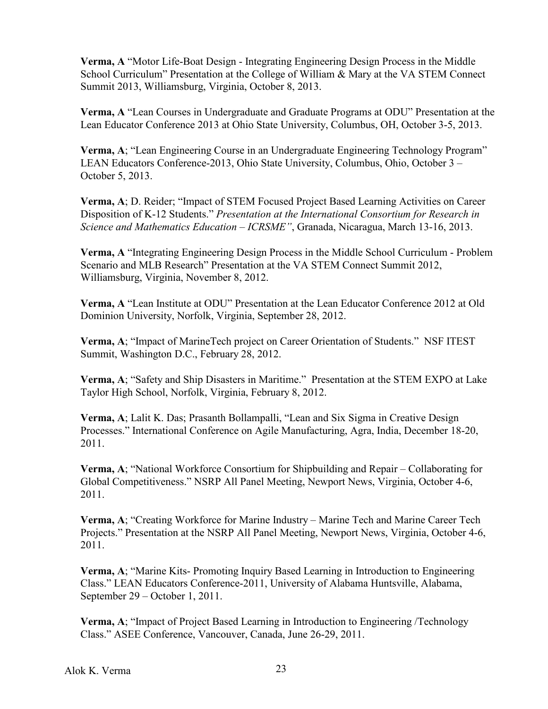**Verma, A** "Motor Life-Boat Design - Integrating Engineering Design Process in the Middle School Curriculum" Presentation at the College of William & Mary at the VA STEM Connect Summit 2013, Williamsburg, Virginia, October 8, 2013.

**Verma, A** "Lean Courses in Undergraduate and Graduate Programs at ODU" Presentation at the Lean Educator Conference 2013 at Ohio State University, Columbus, OH, October 3-5, 2013.

**Verma, A**; "Lean Engineering Course in an Undergraduate Engineering Technology Program" LEAN Educators Conference-2013, Ohio State University, Columbus, Ohio, October 3 – October 5, 2013.

**Verma, A**; D. Reider; "Impact of STEM Focused Project Based Learning Activities on Career Disposition of K-12 Students." *Presentation at the International Consortium for Research in Science and Mathematics Education – ICRSME"*, Granada, Nicaragua, March 13-16, 2013.

**Verma, A** "Integrating Engineering Design Process in the Middle School Curriculum - Problem Scenario and MLB Research" Presentation at the VA STEM Connect Summit 2012, Williamsburg, Virginia, November 8, 2012.

**Verma, A** "Lean Institute at ODU" Presentation at the Lean Educator Conference 2012 at Old Dominion University, Norfolk, Virginia, September 28, 2012.

**Verma, A**; "Impact of MarineTech project on Career Orientation of Students." NSF ITEST Summit, Washington D.C., February 28, 2012.

**Verma, A**; "Safety and Ship Disasters in Maritime." Presentation at the STEM EXPO at Lake Taylor High School, Norfolk, Virginia, February 8, 2012.

**Verma, A**; Lalit K. Das; Prasanth Bollampalli, "Lean and Six Sigma in Creative Design Processes." International Conference on Agile Manufacturing, Agra, India, December 18-20, 2011.

**Verma, A**; "National Workforce Consortium for Shipbuilding and Repair – Collaborating for Global Competitiveness." NSRP All Panel Meeting, Newport News, Virginia, October 4-6, 2011.

**Verma, A**; "Creating Workforce for Marine Industry – Marine Tech and Marine Career Tech Projects." Presentation at the NSRP All Panel Meeting, Newport News, Virginia, October 4-6, 2011.

**Verma, A**; "Marine Kits- Promoting Inquiry Based Learning in Introduction to Engineering Class." LEAN Educators Conference-2011, University of Alabama Huntsville, Alabama, September 29 – October 1, 2011.

**Verma, A**; "Impact of Project Based Learning in Introduction to Engineering /Technology Class." ASEE Conference, Vancouver, Canada, June 26-29, 2011.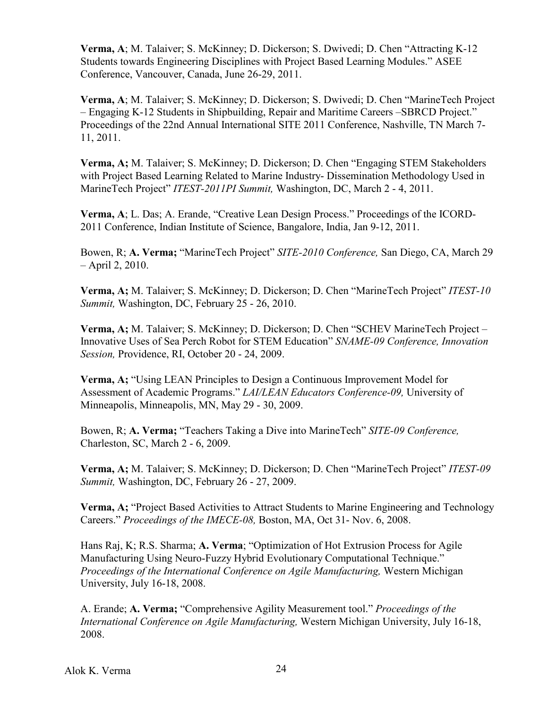**Verma, A**; M. Talaiver; S. McKinney; D. Dickerson; S. Dwivedi; D. Chen "Attracting K-12 Students towards Engineering Disciplines with Project Based Learning Modules." ASEE Conference, Vancouver, Canada, June 26-29, 2011.

**Verma, A**; M. Talaiver; S. McKinney; D. Dickerson; S. Dwivedi; D. Chen "MarineTech Project – Engaging K-12 Students in Shipbuilding, Repair and Maritime Careers –SBRCD Project." Proceedings of the 22nd Annual International SITE 2011 Conference, Nashville, TN March 7- 11, 2011.

**Verma, A;** M. Talaiver; S. McKinney; D. Dickerson; D. Chen "Engaging STEM Stakeholders with Project Based Learning Related to Marine Industry- Dissemination Methodology Used in MarineTech Project" *ITEST-2011PI Summit,* Washington, DC, March 2 - 4, 2011.

**Verma, A**; L. Das; A. Erande, "Creative Lean Design Process." Proceedings of the ICORD-2011 Conference, Indian Institute of Science, Bangalore, India, Jan 9-12, 2011.

Bowen, R; **A. Verma;** "MarineTech Project" *SITE-2010 Conference,* San Diego, CA, March 29 – April 2, 2010.

**Verma, A;** M. Talaiver; S. McKinney; D. Dickerson; D. Chen "MarineTech Project" *ITEST-10 Summit,* Washington, DC, February 25 - 26, 2010.

**Verma, A;** M. Talaiver; S. McKinney; D. Dickerson; D. Chen "SCHEV MarineTech Project – Innovative Uses of Sea Perch Robot for STEM Education" *SNAME-09 Conference, Innovation Session,* Providence, RI, October 20 - 24, 2009.

**Verma, A;** "Using LEAN Principles to Design a Continuous Improvement Model for Assessment of Academic Programs." *LAI/LEAN Educators Conference-09,* University of Minneapolis, Minneapolis, MN, May 29 - 30, 2009.

Bowen, R; **A. Verma;** "Teachers Taking a Dive into MarineTech" *SITE-09 Conference,* Charleston, SC, March 2 - 6, 2009.

**Verma, A;** M. Talaiver; S. McKinney; D. Dickerson; D. Chen "MarineTech Project" *ITEST-09 Summit,* Washington, DC, February 26 - 27, 2009.

**Verma, A;** "Project Based Activities to Attract Students to Marine Engineering and Technology Careers." *Proceedings of the IMECE-08,* Boston, MA, Oct 31- Nov. 6, 2008.

Hans Raj, K; R.S. Sharma; **A. Verma**; "Optimization of Hot Extrusion Process for Agile Manufacturing Using Neuro-Fuzzy Hybrid Evolutionary Computational Technique." *Proceedings of the International Conference on Agile Manufacturing,* Western Michigan University, July 16-18, 2008.

A. Erande; **A. Verma;** "Comprehensive Agility Measurement tool." *Proceedings of the International Conference on Agile Manufacturing,* Western Michigan University, July 16-18, 2008.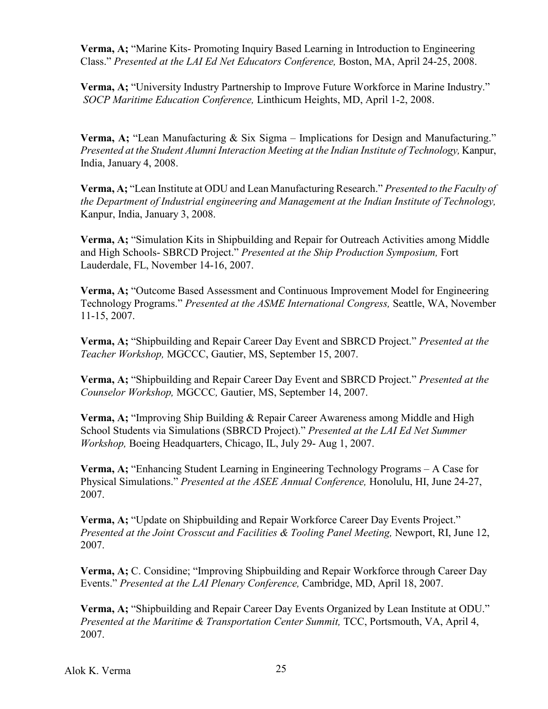**Verma, A;** "Marine Kits- Promoting Inquiry Based Learning in Introduction to Engineering Class." *Presented at the LAI Ed Net Educators Conference,* Boston, MA, April 24-25, 2008.

**Verma, A;** "University Industry Partnership to Improve Future Workforce in Marine Industry." *SOCP Maritime Education Conference,* Linthicum Heights, MD, April 1-2, 2008.

**Verma, A;** "Lean Manufacturing & Six Sigma – Implications for Design and Manufacturing." *Presented at the Student Alumni Interaction Meeting at the Indian Institute of Technology,* Kanpur, India, January 4, 2008.

**Verma, A;** "Lean Institute at ODU and Lean Manufacturing Research." *Presented to the Faculty of the Department of Industrial engineering and Management at the Indian Institute of Technology,* Kanpur, India, January 3, 2008.

**Verma, A;** "Simulation Kits in Shipbuilding and Repair for Outreach Activities among Middle and High Schools- SBRCD Project." *Presented at the Ship Production Symposium,* Fort Lauderdale, FL, November 14-16, 2007.

**Verma, A;** "Outcome Based Assessment and Continuous Improvement Model for Engineering Technology Programs." *Presented at the ASME International Congress,* Seattle, WA, November 11-15, 2007.

**Verma, A;** "Shipbuilding and Repair Career Day Event and SBRCD Project." *Presented at the Teacher Workshop,* MGCCC, Gautier, MS, September 15, 2007.

**Verma, A;** "Shipbuilding and Repair Career Day Event and SBRCD Project." *Presented at the Counselor Workshop,* MGCCC*,* Gautier, MS, September 14, 2007.

**Verma, A;** "Improving Ship Building & Repair Career Awareness among Middle and High School Students via Simulations (SBRCD Project)." *Presented at the LAI Ed Net Summer Workshop,* Boeing Headquarters, Chicago, IL, July 29- Aug 1, 2007.

**Verma, A;** "Enhancing Student Learning in Engineering Technology Programs – A Case for Physical Simulations." *Presented at the ASEE Annual Conference,* Honolulu, HI, June 24-27, 2007.

**Verma, A;** "Update on Shipbuilding and Repair Workforce Career Day Events Project." *Presented at the Joint Crosscut and Facilities & Tooling Panel Meeting,* Newport, RI, June 12, 2007.

**Verma, A;** C. Considine; "Improving Shipbuilding and Repair Workforce through Career Day Events." *Presented at the LAI Plenary Conference,* Cambridge, MD, April 18, 2007.

**Verma, A;** "Shipbuilding and Repair Career Day Events Organized by Lean Institute at ODU." *Presented at the Maritime & Transportation Center Summit,* TCC, Portsmouth, VA, April 4, 2007.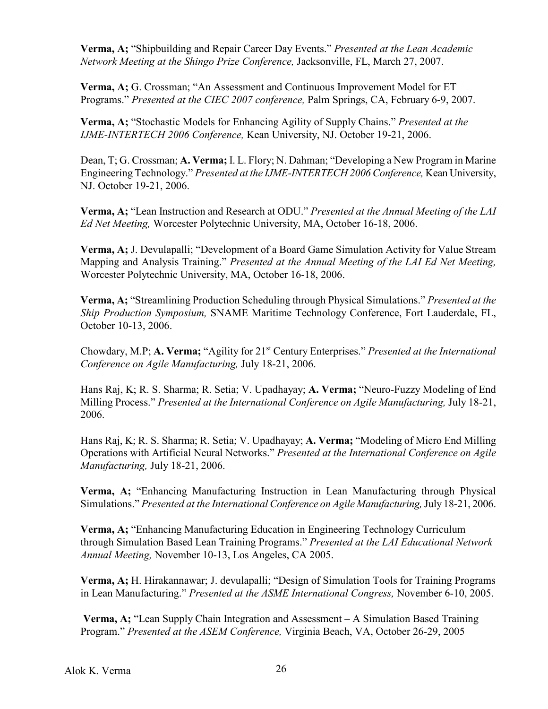**Verma, A;** "Shipbuilding and Repair Career Day Events." *Presented at the Lean Academic Network Meeting at the Shingo Prize Conference,* Jacksonville, FL, March 27, 2007.

**Verma, A;** G. Crossman; "An Assessment and Continuous Improvement Model for ET Programs." *Presented at the CIEC 2007 conference,* Palm Springs, CA, February 6-9, 2007.

**Verma, A;** "Stochastic Models for Enhancing Agility of Supply Chains." *Presented at the IJME-INTERTECH 2006 Conference,* Kean University, NJ. October 19-21, 2006.

Dean, T; G. Crossman; **A. Verma;** I. L. Flory; N. Dahman; "Developing a New Program in Marine Engineering Technology." *Presented at the IJME-INTERTECH 2006 Conference,* Kean University, NJ. October 19-21, 2006.

**Verma, A;** "Lean Instruction and Research at ODU." *Presented at the Annual Meeting of the LAI Ed Net Meeting,* Worcester Polytechnic University, MA, October 16-18, 2006.

**Verma, A;** J. Devulapalli; "Development of a Board Game Simulation Activity for Value Stream Mapping and Analysis Training." *Presented at the Annual Meeting of the LAI Ed Net Meeting,* Worcester Polytechnic University, MA, October 16-18, 2006.

**Verma, A;** "Streamlining Production Scheduling through Physical Simulations." *Presented at the Ship Production Symposium,* SNAME Maritime Technology Conference, Fort Lauderdale, FL, October 10-13, 2006.

Chowdary, M.P; **A. Verma;** "Agility for 21st Century Enterprises." *Presented at the International Conference on Agile Manufacturing,* July 18-21, 2006.

Hans Raj, K; R. S. Sharma; R. Setia; V. Upadhayay; **A. Verma;** "Neuro-Fuzzy Modeling of End Milling Process." *Presented at the International Conference on Agile Manufacturing,* July 18-21, 2006.

Hans Raj, K; R. S. Sharma; R. Setia; V. Upadhayay; **A. Verma;** "Modeling of Micro End Milling Operations with Artificial Neural Networks." *Presented at the International Conference on Agile Manufacturing,* July 18-21, 2006.

**Verma, A;** "Enhancing Manufacturing Instruction in Lean Manufacturing through Physical Simulations." *Presented at the International Conference on Agile Manufacturing,*July 18-21, 2006.

**Verma, A;** "Enhancing Manufacturing Education in Engineering Technology Curriculum through Simulation Based Lean Training Programs." *Presented at the LAI Educational Network Annual Meeting,* November 10-13, Los Angeles, CA 2005.

**Verma, A;** H. Hirakannawar; J. devulapalli; "Design of Simulation Tools for Training Programs in Lean Manufacturing." *Presented at the ASME International Congress,* November 6-10, 2005.

**Verma, A;** "Lean Supply Chain Integration and Assessment – A Simulation Based Training Program." *Presented at the ASEM Conference,* Virginia Beach, VA, October 26-29, 2005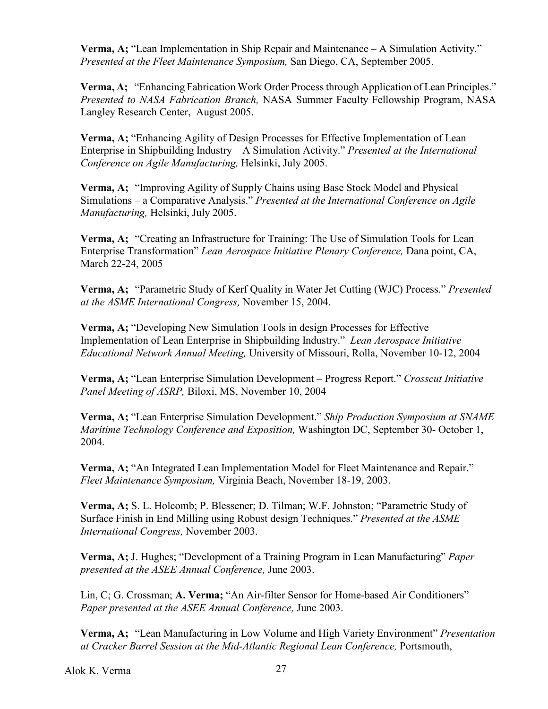**Verma, A;** "Lean Implementation in Ship Repair and Maintenance – A Simulation Activity." *Presented at the Fleet Maintenance Symposium,* San Diego, CA, September 2005.

**Verma, A;** "Enhancing Fabrication Work Order Process through Application of Lean Principles." *Presented to NASA Fabrication Branch,* NASA Summer Faculty Fellowship Program, NASA Langley Research Center, August 2005.

**Verma, A;** "Enhancing Agility of Design Processes for Effective Implementation of Lean Enterprise in Shipbuilding Industry – A Simulation Activity." *Presented at the International Conference on Agile Manufacturing,* Helsinki, July 2005.

**Verma, A;** "Improving Agility of Supply Chains using Base Stock Model and Physical Simulations – a Comparative Analysis." *Presented at the International Conference on Agile Manufacturing,* Helsinki, July 2005.

**Verma, A;** "Creating an Infrastructure for Training: The Use of Simulation Tools for Lean Enterprise Transformation" *Lean Aerospace Initiative Plenary Conference,* Dana point, CA, March 22-24, 2005

**Verma, A;** "Parametric Study of Kerf Quality in Water Jet Cutting (WJC) Process." *Presented at the ASME International Congress,* November 15, 2004.

**Verma, A;** "Developing New Simulation Tools in design Processes for Effective Implementation of Lean Enterprise in Shipbuilding Industry." *Lean Aerospace Initiative Educational Network Annual Meeting,* University of Missouri, Rolla, November 10-12, 2004

**Verma, A;** "Lean Enterprise Simulation Development – Progress Report." *Crosscut Initiative Panel Meeting of ASRP,* Biloxi, MS, November 10, 2004

**Verma, A;** "Lean Enterprise Simulation Development." *Ship Production Symposium at SNAME Maritime Technology Conference and Exposition,* Washington DC, September 30- October 1, 2004.

**Verma, A;** "An Integrated Lean Implementation Model for Fleet Maintenance and Repair." *Fleet Maintenance Symposium,* Virginia Beach, November 18-19, 2003.

**Verma, A;** S. L. Holcomb; P. Blessener; D. Tilman; W.F. Johnston; "Parametric Study of Surface Finish in End Milling using Robust design Techniques." *Presented at the ASME International Congress,* November 2003.

**Verma, A;** J. Hughes; "Development of a Training Program in Lean Manufacturing" *Paper presented at the ASEE Annual Conference,* June 2003.

Lin, C; G. Crossman; **A. Verma;** "An Air-filter Sensor for Home-based Air Conditioners" *Paper presented at the ASEE Annual Conference,* June 2003.

**Verma, A;** "Lean Manufacturing in Low Volume and High Variety Environment" *Presentation at Cracker Barrel Session at the Mid-Atlantic Regional Lean Conference,* Portsmouth,

Alok K. Verma 27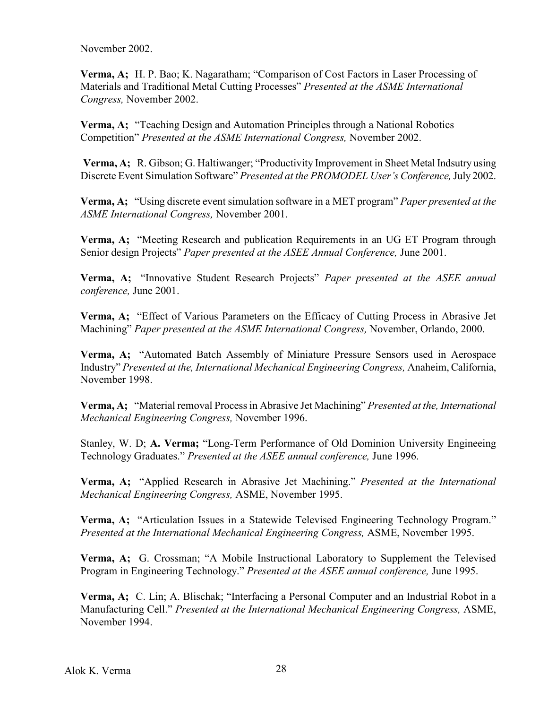November 2002.

**Verma, A;** H. P. Bao; K. Nagaratham; "Comparison of Cost Factors in Laser Processing of Materials and Traditional Metal Cutting Processes" *Presented at the ASME International Congress,* November 2002.

**Verma, A;** "Teaching Design and Automation Principles through a National Robotics Competition" *Presented at the ASME International Congress,* November 2002.

**Verma, A;** R. Gibson; G. Haltiwanger; "Productivity Improvement in Sheet Metal Indsutry using Discrete Event Simulation Software" *Presented at the PROMODEL User's Conference,*July 2002.

**Verma, A;** "Using discrete event simulation software in a MET program" *Paper presented at the ASME International Congress,* November 2001.

**Verma, A;** "Meeting Research and publication Requirements in an UG ET Program through Senior design Projects" *Paper presented at the ASEE Annual Conference,* June 2001.

**Verma, A;** "Innovative Student Research Projects" *Paper presented at the ASEE annual conference,* June 2001.

**Verma, A;** "Effect of Various Parameters on the Efficacy of Cutting Process in Abrasive Jet Machining" *Paper presented at the ASME International Congress,* November, Orlando, 2000.

**Verma, A;** "Automated Batch Assembly of Miniature Pressure Sensors used in Aerospace Industry" *Presented at the, International Mechanical Engineering Congress,* Anaheim, California, November 1998.

**Verma, A;** "Material removal Process in Abrasive Jet Machining" *Presented at the, International Mechanical Engineering Congress,* November 1996.

Stanley, W. D; **A. Verma;** "Long-Term Performance of Old Dominion University Engineeing Technology Graduates." *Presented at the ASEE annual conference,* June 1996.

**Verma, A;** "Applied Research in Abrasive Jet Machining." *Presented at the International Mechanical Engineering Congress,* ASME, November 1995.

**Verma, A;** "Articulation Issues in a Statewide Televised Engineering Technology Program." *Presented at the International Mechanical Engineering Congress,* ASME, November 1995.

**Verma, A;** G. Crossman; "A Mobile Instructional Laboratory to Supplement the Televised Program in Engineering Technology." *Presented at the ASEE annual conference,* June 1995.

**Verma, A;** C. Lin; A. Blischak; "Interfacing a Personal Computer and an Industrial Robot in a Manufacturing Cell." *Presented at the International Mechanical Engineering Congress,* ASME, November 1994.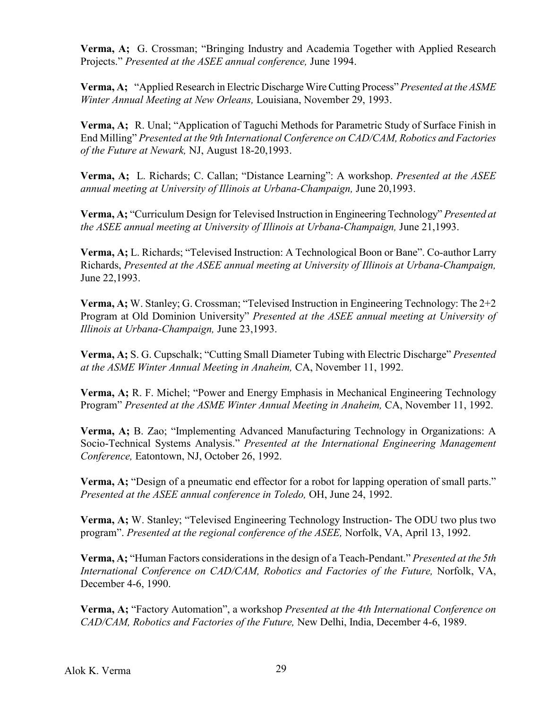**Verma, A;** G. Crossman; "Bringing Industry and Academia Together with Applied Research Projects." *Presented at the ASEE annual conference,* June 1994.

**Verma, A;** "Applied Research in Electric Discharge Wire Cutting Process" *Presented at the ASME Winter Annual Meeting at New Orleans,* Louisiana, November 29, 1993.

**Verma, A;** R. Unal; "Application of Taguchi Methods for Parametric Study of Surface Finish in End Milling" *Presented at the 9th International Conference on CAD/CAM, Robotics and Factories of the Future at Newark,* NJ, August 18-20,1993.

**Verma, A;** L. Richards; C. Callan; "Distance Learning": A workshop. *Presented at the ASEE annual meeting at University of Illinois at Urbana-Champaign,* June 20,1993.

**Verma, A;** "Curriculum Design for Televised Instruction in Engineering Technology" *Presented at the ASEE annual meeting at University of Illinois at Urbana-Champaign,* June 21,1993.

**Verma, A;** L. Richards; "Televised Instruction: A Technological Boon or Bane". Co-author Larry Richards, *Presented at the ASEE annual meeting at University of Illinois at Urbana-Champaign,* June 22,1993.

**Verma, A;** W. Stanley; G. Crossman; "Televised Instruction in Engineering Technology: The 2+2 Program at Old Dominion University" *Presented at the ASEE annual meeting at University of Illinois at Urbana-Champaign,* June 23,1993.

**Verma, A;** S. G. Cupschalk; "Cutting Small Diameter Tubing with Electric Discharge" *Presented at the ASME Winter Annual Meeting in Anaheim,* CA, November 11, 1992.

**Verma, A;** R. F. Michel; "Power and Energy Emphasis in Mechanical Engineering Technology Program" *Presented at the ASME Winter Annual Meeting in Anaheim,* CA, November 11, 1992.

**Verma, A;** B. Zao; "Implementing Advanced Manufacturing Technology in Organizations: A Socio-Technical Systems Analysis." *Presented at the International Engineering Management Conference,* Eatontown, NJ, October 26, 1992.

**Verma, A;** "Design of a pneumatic end effector for a robot for lapping operation of small parts." *Presented at the ASEE annual conference in Toledo,* OH, June 24, 1992.

**Verma, A;** W. Stanley; "Televised Engineering Technology Instruction- The ODU two plus two program". *Presented at the regional conference of the ASEE,* Norfolk, VA, April 13, 1992.

**Verma, A;** "Human Factors considerationsin the design of a Teach-Pendant." *Presented at the 5th International Conference on CAD/CAM, Robotics and Factories of the Future,* Norfolk, VA, December 4-6, 1990.

**Verma, A;** "Factory Automation", a workshop *Presented at the 4th International Conference on CAD/CAM, Robotics and Factories of the Future,* New Delhi, India, December 4-6, 1989.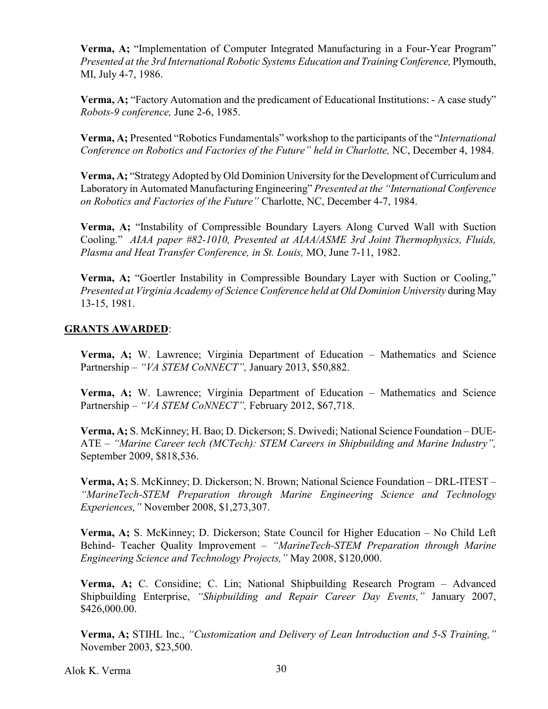**Verma, A;** "Implementation of Computer Integrated Manufacturing in a Four-Year Program" *Presented at the 3rd International Robotic Systems Education and Training Conference,* Plymouth, MI, July 4-7, 1986.

**Verma, A;** "Factory Automation and the predicament of Educational Institutions: - A case study" *Robots-9 conference,* June 2-6, 1985.

**Verma, A;** Presented "Robotics Fundamentals" workshop to the participants of the "*International Conference on Robotics and Factories of the Future" held in Charlotte,* NC, December 4, 1984.

**Verma, A;** "Strategy Adopted by Old Dominion University for the Development of Curriculum and Laboratory in Automated Manufacturing Engineering" *Presented at the "International Conference on Robotics and Factories of the Future"* Charlotte, NC, December 4-7, 1984.

**Verma, A;** "Instability of Compressible Boundary Layers Along Curved Wall with Suction Cooling." *AIAA paper #82-1010, Presented at AIAA/ASME 3rd Joint Thermophysics, Fluids, Plasma and Heat Transfer Conference, in St. Louis,* MO, June 7-11, 1982.

**Verma, A;** "Goertler Instability in Compressible Boundary Layer with Suction or Cooling," *Presented at Virginia Academy of Science Conference held at Old Dominion University* during May 13-15, 1981.

## **GRANTS AWARDED**:

**Verma, A;** W. Lawrence; Virginia Department of Education – Mathematics and Science Partnership – *"VA STEM CoNNECT",* January 2013, \$50,882.

**Verma, A;** W. Lawrence; Virginia Department of Education – Mathematics and Science Partnership – *"VA STEM CoNNECT",* February 2012, \$67,718.

**Verma, A;** S. McKinney; H. Bao; D. Dickerson; S. Dwivedi; National Science Foundation – DUE-ATE – *"Marine Career tech (MCTech): STEM Careers in Shipbuilding and Marine Industry",* September 2009, \$818,536.

**Verma, A;** S. McKinney; D. Dickerson; N. Brown; National Science Foundation – DRL-ITEST – *"MarineTech-STEM Preparation through Marine Engineering Science and Technology Experiences,"* November 2008, \$1,273,307.

**Verma, A;** S. McKinney; D. Dickerson; State Council for Higher Education – No Child Left Behind- Teacher Quality Improvement – *"MarineTech-STEM Preparation through Marine Engineering Science and Technology Projects,"* May 2008, \$120,000.

**Verma, A;** C. Considine; C. Lin; National Shipbuilding Research Program – Advanced Shipbuilding Enterprise, *"Shipbuilding and Repair Career Day Events,"* January 2007, \$426,000.00.

**Verma, A;** STIHL Inc., *"Customization and Delivery of Lean Introduction and 5-S Training,"* November 2003, \$23,500.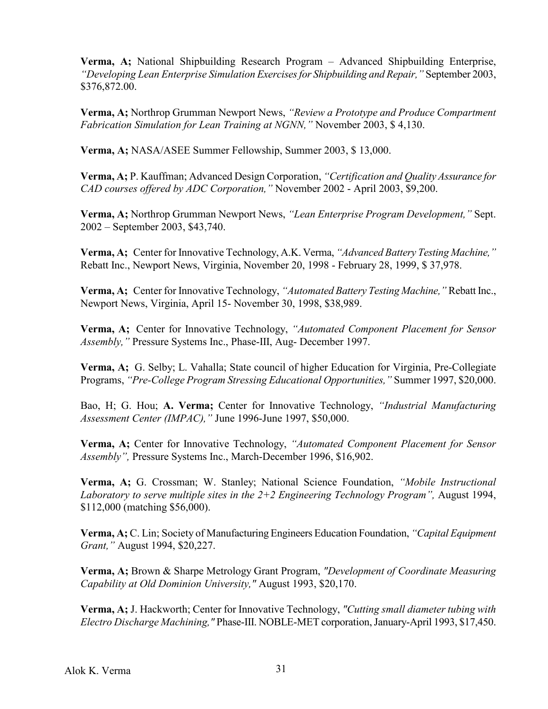**Verma, A;** National Shipbuilding Research Program – Advanced Shipbuilding Enterprise, *"Developing Lean Enterprise Simulation Exercises for Shipbuilding and Repair,"* September 2003, \$376,872.00.

**Verma, A;** Northrop Grumman Newport News, *"Review a Prototype and Produce Compartment Fabrication Simulation for Lean Training at NGNN,"* November 2003, \$ 4,130.

**Verma, A;** NASA/ASEE Summer Fellowship, Summer 2003, \$ 13,000.

**Verma, A;** P. Kauffman; Advanced Design Corporation, *"Certification and Quality Assurance for CAD courses offered by ADC Corporation,"* November 2002 - April 2003, \$9,200.

**Verma, A;** Northrop Grumman Newport News, *"Lean Enterprise Program Development,"* Sept. 2002 – September 2003, \$43,740.

**Verma, A;** Center for Innovative Technology, A.K. Verma, *"Advanced Battery Testing Machine,"* Rebatt Inc., Newport News, Virginia, November 20, 1998 - February 28, 1999, \$ 37,978.

**Verma, A;** Center for Innovative Technology, *"Automated Battery Testing Machine,"* Rebatt Inc., Newport News, Virginia, April 15- November 30, 1998, \$38,989.

**Verma, A;** Center for Innovative Technology, *"Automated Component Placement for Sensor Assembly,"* Pressure Systems Inc., Phase-III, Aug- December 1997.

**Verma, A;** G. Selby; L. Vahalla; State council of higher Education for Virginia, Pre-Collegiate Programs, *"Pre-College Program Stressing Educational Opportunities,"* Summer 1997, \$20,000.

Bao, H; G. Hou; **A. Verma;** Center for Innovative Technology, *"Industrial Manufacturing Assessment Center (IMPAC),"* June 1996-June 1997, \$50,000.

**Verma, A;** Center for Innovative Technology, *"Automated Component Placement for Sensor Assembly",* Pressure Systems Inc., March-December 1996, \$16,902.

**Verma, A;** G. Crossman; W. Stanley; National Science Foundation, *"Mobile Instructional Laboratory to serve multiple sites in the 2+2 Engineering Technology Program",* August 1994, \$112,000 (matching \$56,000).

**Verma, A;** C. Lin; Society of Manufacturing Engineers Education Foundation, *"Capital Equipment Grant,"* August 1994, \$20,227.

**Verma, A;** Brown & Sharpe Metrology Grant Program, *"Development of Coordinate Measuring Capability at Old Dominion University,"* August 1993, \$20,170.

**Verma, A;** J. Hackworth; Center for Innovative Technology, *"Cutting small diameter tubing with Electro Discharge Machining,"* Phase-III. NOBLE-MET corporation, January-April 1993, \$17,450.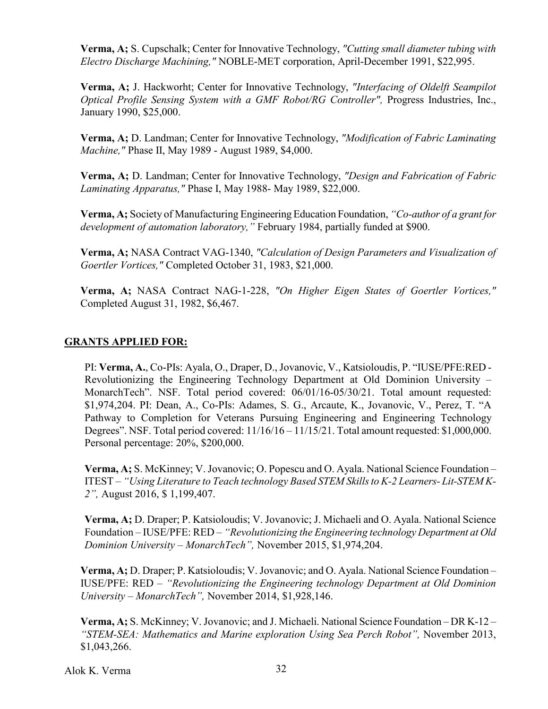**Verma, A;** S. Cupschalk; Center for Innovative Technology, *"Cutting small diameter tubing with Electro Discharge Machining,"* NOBLE-MET corporation, April-December 1991, \$22,995.

**Verma, A;** J. Hackworht; Center for Innovative Technology, *"Interfacing of Oldelft Seampilot Optical Profile Sensing System with a GMF Robot/RG Controller",* Progress Industries, Inc., January 1990, \$25,000.

**Verma, A;** D. Landman; Center for Innovative Technology, *"Modification of Fabric Laminating Machine,"* Phase II, May 1989 - August 1989, \$4,000.

**Verma, A;** D. Landman; Center for Innovative Technology, *"Design and Fabrication of Fabric Laminating Apparatus,"* Phase I, May 1988- May 1989, \$22,000.

**Verma, A;** Society of Manufacturing Engineering Education Foundation, *"Co-author of a grant for development of automation laboratory,"* February 1984, partially funded at \$900.

**Verma, A;** NASA Contract VAG-1340, *"Calculation of Design Parameters and Visualization of Goertler Vortices,"* Completed October 31, 1983, \$21,000.

**Verma, A;** NASA Contract NAG-1-228, *"On Higher Eigen States of Goertler Vortices,"* Completed August 31, 1982, \$6,467.

## **GRANTS APPLIED FOR:**

PI: **Verma, A.**, Co-PIs: Ayala, O., Draper, D., Jovanovic, V., Katsioloudis, P. "IUSE/PFE:RED - Revolutionizing the Engineering Technology Department at Old Dominion University – MonarchTech". NSF. Total period covered: 06/01/16-05/30/21. Total amount requested: \$1,974,204. PI: Dean, A., Co-PIs: Adames, S. G., Arcaute, K., Jovanovic, V., Perez, T. "A Pathway to Completion for Veterans Pursuing Engineering and Engineering Technology Degrees". NSF. Total period covered: 11/16/16 – 11/15/21. Total amount requested: \$1,000,000. Personal percentage: 20%, \$200,000.

**Verma, A;** S. McKinney; V.Jovanovic; O. Popescu and O. Ayala. National Science Foundation – ITEST – *"Using Literature to Teach technology Based STEM Skillsto K-2 Learners- Lit-STEM K-2",* August 2016, \$ 1,199,407.

**Verma, A;** D. Draper; P. Katsioloudis; V. Jovanovic; J. Michaeli and O. Ayala. National Science Foundation – IUSE/PFE: RED – *"Revolutionizing the Engineering technology Department at Old Dominion University – MonarchTech",* November 2015, \$1,974,204.

**Verma, A;** D. Draper; P. Katsioloudis; V. Jovanovic; and O. Ayala. National Science Foundation – IUSE/PFE: RED – *"Revolutionizing the Engineering technology Department at Old Dominion University – MonarchTech",* November 2014, \$1,928,146.

**Verma, A;** S. McKinney; V. Jovanovic; and J. Michaeli. National Science Foundation – DR K-12 – *"STEM-SEA: Mathematics and Marine exploration Using Sea Perch Robot",* November 2013, \$1,043,266.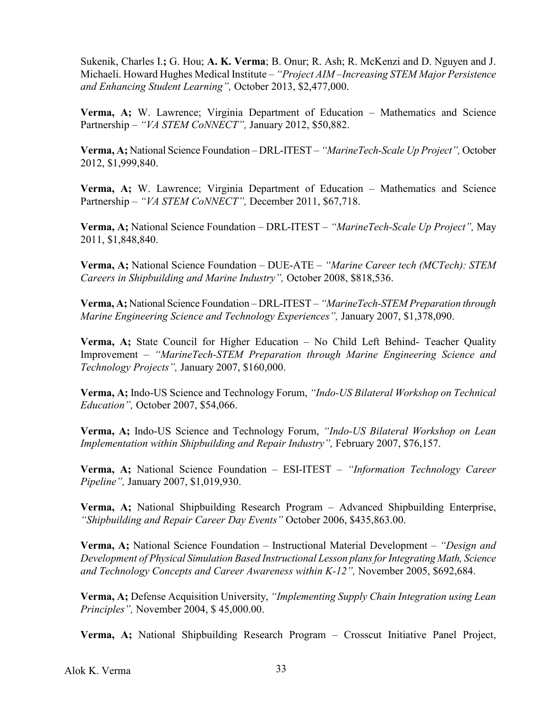Sukenik, Charles I.**;** G. Hou; **A. K. Verma**; B. Onur; R. Ash; R. McKenzi and D. Nguyen and J. Michaeli. Howard Hughes Medical Institute – *"Project AIM –Increasing STEM Major Persistence and Enhancing Student Learning",* October 2013, \$2,477,000.

**Verma, A;** W. Lawrence; Virginia Department of Education – Mathematics and Science Partnership – *"VA STEM CoNNECT",* January 2012, \$50,882.

**Verma, A;** National Science Foundation – DRL-ITEST – *"MarineTech-Scale Up Project",* October 2012, \$1,999,840.

**Verma, A;** W. Lawrence; Virginia Department of Education – Mathematics and Science Partnership – *"VA STEM CoNNECT",* December 2011, \$67,718.

**Verma, A;** National Science Foundation – DRL-ITEST – *"MarineTech-Scale Up Project",* May 2011, \$1,848,840.

**Verma, A;** National Science Foundation – DUE-ATE – *"Marine Career tech (MCTech): STEM Careers in Shipbuilding and Marine Industry",* October 2008, \$818,536.

**Verma, A;** National Science Foundation – DRL-ITEST – *"MarineTech-STEM Preparation through Marine Engineering Science and Technology Experiences",* January 2007, \$1,378,090.

**Verma, A;** State Council for Higher Education – No Child Left Behind- Teacher Quality Improvement – *"MarineTech-STEM Preparation through Marine Engineering Science and Technology Projects",* January 2007, \$160,000.

**Verma, A;** Indo-US Science and Technology Forum, *"Indo-US Bilateral Workshop on Technical Education",* October 2007, \$54,066.

**Verma, A;** Indo-US Science and Technology Forum, *"Indo-US Bilateral Workshop on Lean Implementation within Shipbuilding and Repair Industry",* February 2007, \$76,157.

**Verma, A;** National Science Foundation – ESI-ITEST – *"Information Technology Career Pipeline",* January 2007, \$1,019,930.

**Verma, A;** National Shipbuilding Research Program – Advanced Shipbuilding Enterprise, *"Shipbuilding and Repair Career Day Events"* October 2006, \$435,863.00.

**Verma, A;** National Science Foundation – Instructional Material Development – *"Design and Development of Physical Simulation Based Instructional Lesson plans for Integrating Math, Science and Technology Concepts and Career Awareness within K-12",* November 2005, \$692,684.

**Verma, A;** Defense Acquisition University, *"Implementing Supply Chain Integration using Lean Principles",* November 2004, \$ 45,000.00.

**Verma, A;** National Shipbuilding Research Program – Crosscut Initiative Panel Project,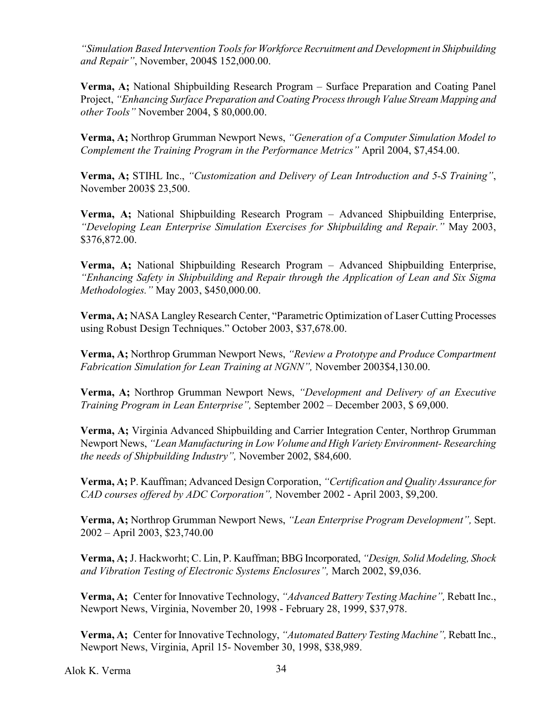*"Simulation Based Intervention Tools for Workforce Recruitment and Development in Shipbuilding and Repair"*, November, 2004\$ 152,000.00.

**Verma, A;** National Shipbuilding Research Program – Surface Preparation and Coating Panel Project, *"Enhancing Surface Preparation and Coating Process through Value Stream Mapping and other Tools"* November 2004, \$ 80,000.00.

**Verma, A;** Northrop Grumman Newport News, *"Generation of a Computer Simulation Model to Complement the Training Program in the Performance Metrics"* April 2004, \$7,454.00.

**Verma, A;** STIHL Inc., *"Customization and Delivery of Lean Introduction and 5-S Training"*, November 2003\$ 23,500.

**Verma, A;** National Shipbuilding Research Program – Advanced Shipbuilding Enterprise, *"Developing Lean Enterprise Simulation Exercises for Shipbuilding and Repair."* May 2003, \$376,872.00.

**Verma, A;** National Shipbuilding Research Program – Advanced Shipbuilding Enterprise, *"Enhancing Safety in Shipbuilding and Repair through the Application of Lean and Six Sigma Methodologies."* May 2003, \$450,000.00.

**Verma, A;** NASA Langley Research Center, "Parametric Optimization of Laser Cutting Processes using Robust Design Techniques." October 2003, \$37,678.00.

**Verma, A;** Northrop Grumman Newport News, *"Review a Prototype and Produce Compartment Fabrication Simulation for Lean Training at NGNN",* November 2003\$4,130.00.

**Verma, A;** Northrop Grumman Newport News, *"Development and Delivery of an Executive Training Program in Lean Enterprise",* September 2002 – December 2003, \$ 69,000.

**Verma, A;** Virginia Advanced Shipbuilding and Carrier Integration Center, Northrop Grumman Newport News, *"Lean Manufacturing in Low Volume and High Variety Environment- Researching the needs of Shipbuilding Industry",* November 2002, \$84,600.

**Verma, A;** P. Kauffman; Advanced Design Corporation, *"Certification and Quality Assurance for CAD courses offered by ADC Corporation",* November 2002 - April 2003, \$9,200.

**Verma, A;** Northrop Grumman Newport News, *"Lean Enterprise Program Development",* Sept. 2002 – April 2003, \$23,740.00

**Verma, A;** J. Hackworht; C. Lin, P. Kauffman; BBG Incorporated, *"Design, Solid Modeling, Shock and Vibration Testing of Electronic Systems Enclosures",* March 2002, \$9,036.

**Verma, A;** Center for Innovative Technology, *"Advanced Battery Testing Machine",* Rebatt Inc., Newport News, Virginia, November 20, 1998 - February 28, 1999, \$37,978.

**Verma, A;** Center for Innovative Technology, *"Automated Battery Testing Machine",* Rebatt Inc., Newport News, Virginia, April 15- November 30, 1998, \$38,989.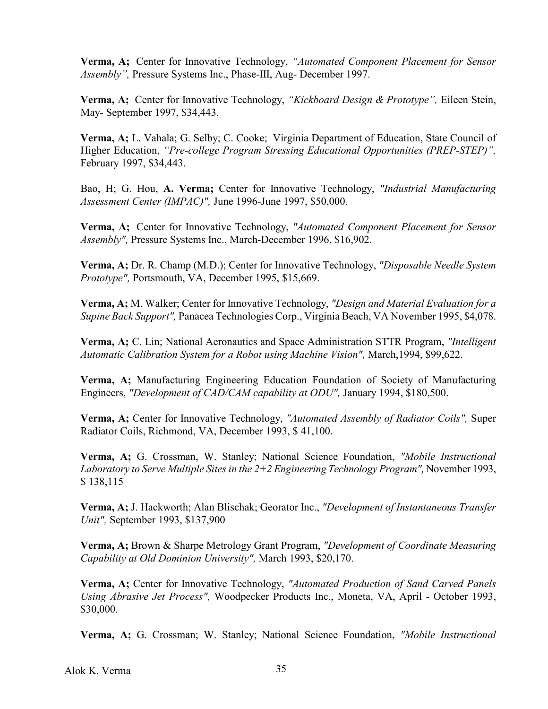**Verma, A;** Center for Innovative Technology, *"Automated Component Placement for Sensor Assembly",* Pressure Systems Inc., Phase-III, Aug- December 1997.

**Verma, A;** Center for Innovative Technology, *"Kickboard Design & Prototype",* Eileen Stein, May- September 1997, \$34,443.

**Verma, A;** L. Vahala; G. Selby; C. Cooke; Virginia Department of Education, State Council of Higher Education, *"Pre-college Program Stressing Educational Opportunities (PREP-STEP)",* February 1997, \$34,443.

Bao, H; G. Hou, **A. Verma;** Center for Innovative Technology, *"Industrial Manufacturing Assessment Center (IMPAC)",* June 1996-June 1997, \$50,000.

**Verma, A;** Center for Innovative Technology, *"Automated Component Placement for Sensor Assembly",* Pressure Systems Inc., March-December 1996, \$16,902.

**Verma, A;** Dr. R. Champ (M.D.); Center for Innovative Technology, *"Disposable Needle System Prototype",* Portsmouth, VA, December 1995, \$15,669.

**Verma, A;** M. Walker; Center for Innovative Technology, *"Design and Material Evaluation for a Supine Back Support",* Panacea Technologies Corp., Virginia Beach, VA November 1995, \$4,078.

**Verma, A;** C. Lin; National Aeronautics and Space Administration STTR Program, *"Intelligent Automatic Calibration System for a Robot using Machine Vision",* March,1994, \$99,622.

**Verma, A;** Manufacturing Engineering Education Foundation of Society of Manufacturing Engineers, *"Development of CAD/CAM capability at ODU",* January 1994, \$180,500.

**Verma, A;** Center for Innovative Technology, *"Automated Assembly of Radiator Coils",* Super Radiator Coils, Richmond, VA, December 1993, \$ 41,100.

**Verma, A;** G. Crossman, W. Stanley; National Science Foundation, *"Mobile Instructional Laboratory to Serve Multiple Sites in the 2+2 Engineering Technology Program",* November 1993, \$ 138,115

**Verma, A;** J. Hackworth; Alan Blischak; Georator Inc., *"Development of Instantaneous Transfer Unit",* September 1993, \$137,900

**Verma, A;** Brown & Sharpe Metrology Grant Program, *"Development of Coordinate Measuring Capability at Old Dominion University",* March 1993, \$20,170.

**Verma, A;** Center for Innovative Technology, *"Automated Production of Sand Carved Panels Using Abrasive Jet Process",* Woodpecker Products Inc., Moneta, VA, April - October 1993, \$30,000.

**Verma, A;** G. Crossman; W. Stanley; National Science Foundation, *"Mobile Instructional*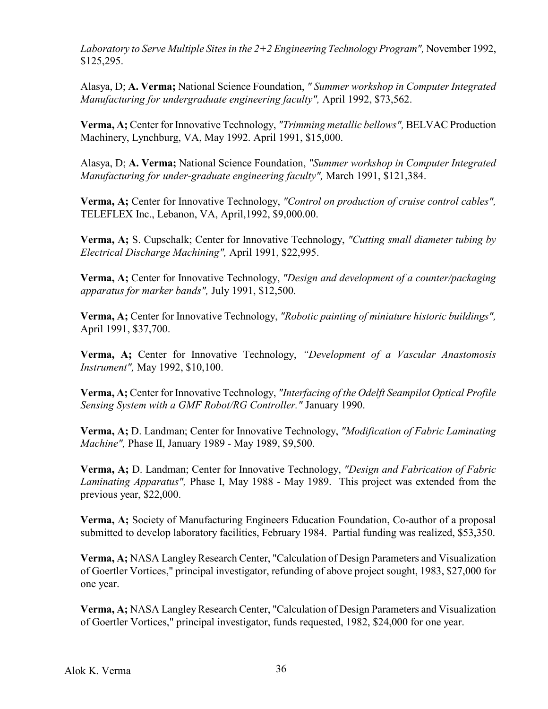*Laboratory to Serve Multiple Sites in the 2+2 Engineering Technology Program",* November 1992, \$125,295.

Alasya, D; **A. Verma;** National Science Foundation, *" Summer workshop in Computer Integrated Manufacturing for undergraduate engineering faculty",* April 1992, \$73,562.

**Verma, A;** Center for Innovative Technology, *"Trimming metallic bellows",* BELVAC Production Machinery, Lynchburg, VA, May 1992. April 1991, \$15,000.

Alasya, D; **A. Verma;** National Science Foundation, *"Summer workshop in Computer Integrated Manufacturing for under-graduate engineering faculty",* March 1991, \$121,384.

**Verma, A;** Center for Innovative Technology, *"Control on production of cruise control cables",*  TELEFLEX Inc., Lebanon, VA, April,1992, \$9,000.00.

**Verma, A;** S. Cupschalk; Center for Innovative Technology, *"Cutting small diameter tubing by Electrical Discharge Machining",* April 1991, \$22,995.

**Verma, A;** Center for Innovative Technology, *"Design and development of a counter/packaging apparatus for marker bands",* July 1991, \$12,500.

**Verma, A;** Center for Innovative Technology, *"Robotic painting of miniature historic buildings",*  April 1991, \$37,700.

**Verma, A;** Center for Innovative Technology, *"Development of a Vascular Anastomosis Instrument",* May 1992, \$10,100.

**Verma, A;** Center for Innovative Technology, *"Interfacing of the Odelft Seampilot Optical Profile Sensing System with a GMF Robot/RG Controller."* January 1990.

**Verma, A;** D. Landman; Center for Innovative Technology, *"Modification of Fabric Laminating Machine",* Phase II, January 1989 - May 1989, \$9,500.

**Verma, A;** D. Landman; Center for Innovative Technology, *"Design and Fabrication of Fabric Laminating Apparatus",* Phase I, May 1988 - May 1989. This project was extended from the previous year, \$22,000.

**Verma, A;** Society of Manufacturing Engineers Education Foundation, Co-author of a proposal submitted to develop laboratory facilities, February 1984. Partial funding was realized, \$53,350.

**Verma, A;** NASA Langley Research Center, "Calculation of Design Parameters and Visualization of Goertler Vortices," principal investigator, refunding of above project sought, 1983, \$27,000 for one year.

**Verma, A;** NASA Langley Research Center, "Calculation of Design Parameters and Visualization of Goertler Vortices," principal investigator, funds requested, 1982, \$24,000 for one year.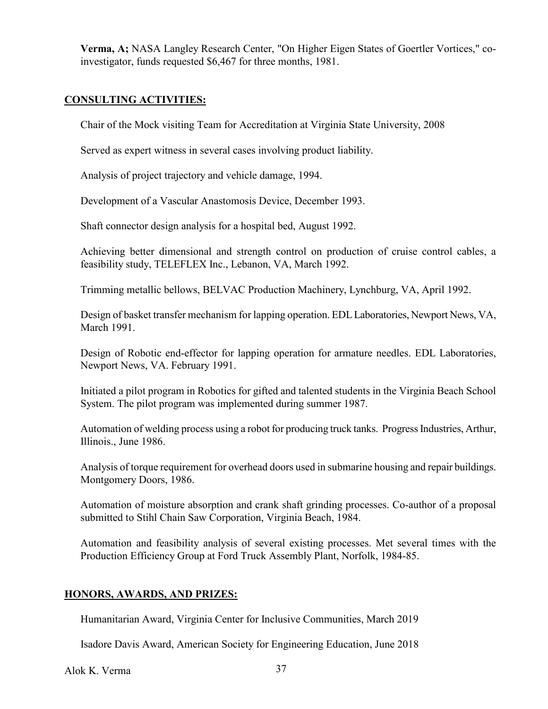**Verma, A;** NASA Langley Research Center, "On Higher Eigen States of Goertler Vortices," coinvestigator, funds requested \$6,467 for three months, 1981.

## **CONSULTING ACTIVITIES:**

Chair of the Mock visiting Team for Accreditation at Virginia State University, 2008

Served as expert witness in several cases involving product liability.

Analysis of project trajectory and vehicle damage, 1994.

Development of a Vascular Anastomosis Device, December 1993.

Shaft connector design analysis for a hospital bed, August 1992.

Achieving better dimensional and strength control on production of cruise control cables, a feasibility study, TELEFLEX Inc., Lebanon, VA, March 1992.

Trimming metallic bellows, BELVAC Production Machinery, Lynchburg, VA, April 1992.

Design of basket transfer mechanism for lapping operation. EDL Laboratories, Newport News, VA, March 1991.

Design of Robotic end-effector for lapping operation for armature needles. EDL Laboratories, Newport News, VA. February 1991.

Initiated a pilot program in Robotics for gifted and talented students in the Virginia Beach School System. The pilot program was implemented during summer 1987.

Automation of welding process using a robot for producing truck tanks. Progress Industries, Arthur, Illinois., June 1986.

Analysis of torque requirement for overhead doors used in submarine housing and repair buildings. Montgomery Doors, 1986.

Automation of moisture absorption and crank shaft grinding processes. Co-author of a proposal submitted to Stihl Chain Saw Corporation, Virginia Beach, 1984.

Automation and feasibility analysis of several existing processes. Met several times with the Production Efficiency Group at Ford Truck Assembly Plant, Norfolk, 1984-85.

## **HONORS, AWARDS, AND PRIZES:**

Humanitarian Award, Virginia Center for Inclusive Communities, March 2019

Isadore Davis Award, American Society for Engineering Education, June 2018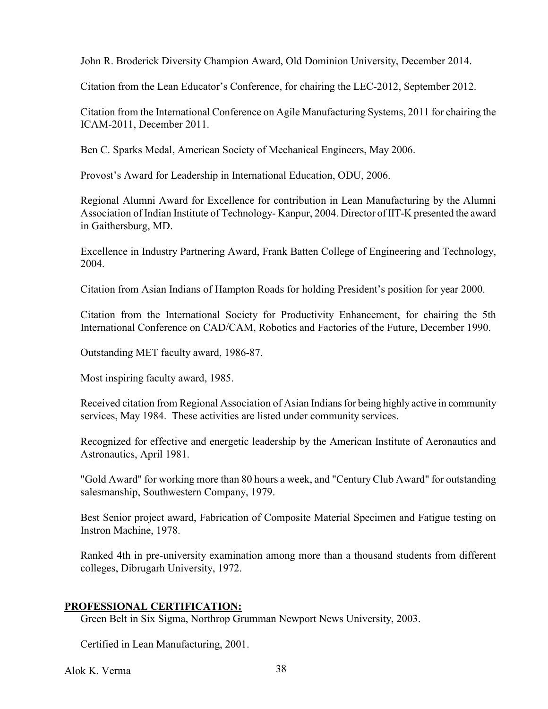John R. Broderick Diversity Champion Award, Old Dominion University, December 2014.

Citation from the Lean Educator's Conference, for chairing the LEC-2012, September 2012.

Citation from the International Conference on Agile Manufacturing Systems, 2011 for chairing the ICAM-2011, December 2011.

Ben C. Sparks Medal, American Society of Mechanical Engineers, May 2006.

Provost's Award for Leadership in International Education, ODU, 2006.

Regional Alumni Award for Excellence for contribution in Lean Manufacturing by the Alumni Association of Indian Institute of Technology- Kanpur, 2004. Director of IIT-K presented the award in Gaithersburg, MD.

Excellence in Industry Partnering Award, Frank Batten College of Engineering and Technology, 2004.

Citation from Asian Indians of Hampton Roads for holding President's position for year 2000.

Citation from the International Society for Productivity Enhancement, for chairing the 5th International Conference on CAD/CAM, Robotics and Factories of the Future, December 1990.

Outstanding MET faculty award, 1986-87.

Most inspiring faculty award, 1985.

Received citation from Regional Association of Asian Indians for being highly active in community services, May 1984. These activities are listed under community services.

Recognized for effective and energetic leadership by the American Institute of Aeronautics and Astronautics, April 1981.

"Gold Award" for working more than 80 hours a week, and "Century Club Award" for outstanding salesmanship, Southwestern Company, 1979.

Best Senior project award, Fabrication of Composite Material Specimen and Fatigue testing on Instron Machine, 1978.

Ranked 4th in pre-university examination among more than a thousand students from different colleges, Dibrugarh University, 1972.

## **PROFESSIONAL CERTIFICATION:**

Green Belt in Six Sigma, Northrop Grumman Newport News University, 2003.

Certified in Lean Manufacturing, 2001.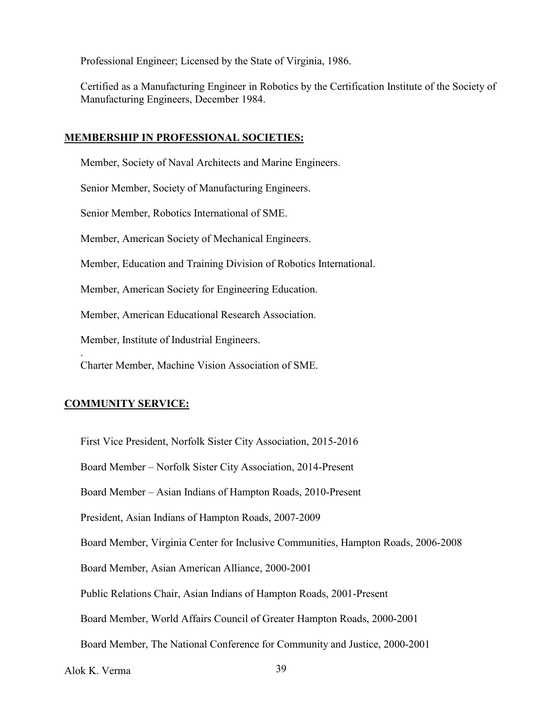Professional Engineer; Licensed by the State of Virginia, 1986.

Certified as a Manufacturing Engineer in Robotics by the Certification Institute of the Society of Manufacturing Engineers, December 1984.

#### **MEMBERSHIP IN PROFESSIONAL SOCIETIES:**

Member, Society of Naval Architects and Marine Engineers.

Senior Member, Society of Manufacturing Engineers.

Senior Member, Robotics International of SME.

Member, American Society of Mechanical Engineers.

Member, Education and Training Division of Robotics International.

Member, American Society for Engineering Education.

Member, American Educational Research Association.

Member, Institute of Industrial Engineers.

Charter Member, Machine Vision Association of SME.

### **COMMUNITY SERVICE:**

.

First Vice President, Norfolk Sister City Association, 2015-2016

Board Member – Norfolk Sister City Association, 2014-Present

Board Member – Asian Indians of Hampton Roads, 2010-Present

President, Asian Indians of Hampton Roads, 2007-2009

Board Member, Virginia Center for Inclusive Communities, Hampton Roads, 2006-2008

Board Member, Asian American Alliance, 2000-2001

Public Relations Chair, Asian Indians of Hampton Roads, 2001-Present

Board Member, World Affairs Council of Greater Hampton Roads, 2000-2001

Board Member, The National Conference for Community and Justice, 2000-2001

Alok K. Verma 39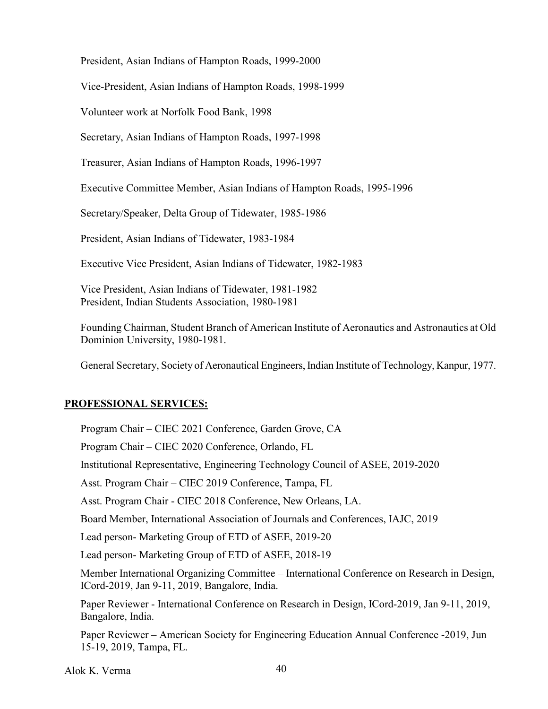President, Asian Indians of Hampton Roads, 1999-2000

Vice-President, Asian Indians of Hampton Roads, 1998-1999

Volunteer work at Norfolk Food Bank, 1998

Secretary, Asian Indians of Hampton Roads, 1997-1998

Treasurer, Asian Indians of Hampton Roads, 1996-1997

Executive Committee Member, Asian Indians of Hampton Roads, 1995-1996

Secretary/Speaker, Delta Group of Tidewater, 1985-1986

President, Asian Indians of Tidewater, 1983-1984

Executive Vice President, Asian Indians of Tidewater, 1982-1983

Vice President, Asian Indians of Tidewater, 1981-1982 President, Indian Students Association, 1980-1981

Founding Chairman, Student Branch of American Institute of Aeronautics and Astronautics at Old Dominion University, 1980-1981.

General Secretary, Society of Aeronautical Engineers, Indian Institute of Technology, Kanpur, 1977.

### **PROFESSIONAL SERVICES:**

Program Chair – CIEC 2021 Conference, Garden Grove, CA Program Chair – CIEC 2020 Conference, Orlando, FL Institutional Representative, Engineering Technology Council of ASEE, 2019-2020 Asst. Program Chair – CIEC 2019 Conference, Tampa, FL Asst. Program Chair - CIEC 2018 Conference, New Orleans, LA. Board Member, International Association of Journals and Conferences, IAJC, 2019 Lead person- Marketing Group of ETD of ASEE, 2019-20 Lead person- Marketing Group of ETD of ASEE, 2018-19 Member International Organizing Committee – International Conference on Research in Design, ICord-2019, Jan 9-11, 2019, Bangalore, India. Paper Reviewer - International Conference on Research in Design, ICord-2019, Jan 9-11, 2019, Bangalore, India. Paper Reviewer – American Society for Engineering Education Annual Conference -2019, Jun 15-19, 2019, Tampa, FL.

Alok K. Verma 40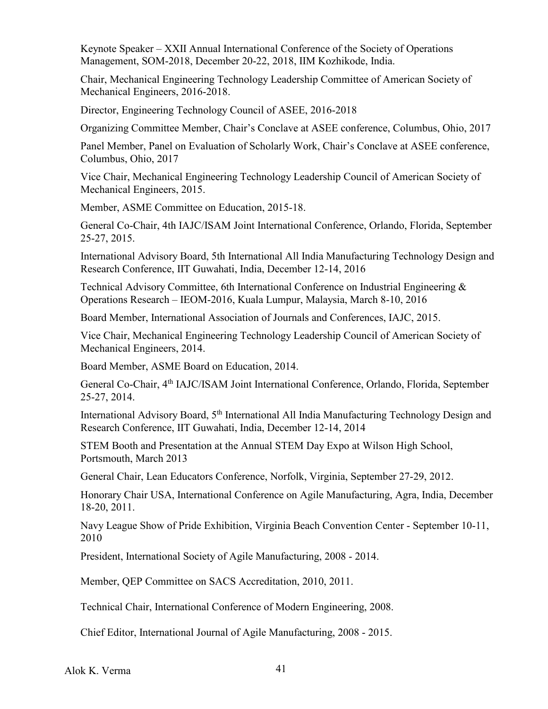Keynote Speaker – XXII Annual International Conference of the Society of Operations Management, SOM-2018, December 20-22, 2018, IIM Kozhikode, India.

Chair, Mechanical Engineering Technology Leadership Committee of American Society of Mechanical Engineers, 2016-2018.

Director, Engineering Technology Council of ASEE, 2016-2018

Organizing Committee Member, Chair's Conclave at ASEE conference, Columbus, Ohio, 2017

Panel Member, Panel on Evaluation of Scholarly Work, Chair's Conclave at ASEE conference, Columbus, Ohio, 2017

Vice Chair, Mechanical Engineering Technology Leadership Council of American Society of Mechanical Engineers, 2015.

Member, ASME Committee on Education, 2015-18.

General Co-Chair, 4th IAJC/ISAM Joint International Conference, Orlando, Florida, September 25-27, 2015.

International Advisory Board, 5th International All India Manufacturing Technology Design and Research Conference, IIT Guwahati, India, December 12-14, 2016

Technical Advisory Committee, 6th International Conference on Industrial Engineering & Operations Research – IEOM-2016, Kuala Lumpur, Malaysia, March 8-10, 2016

Board Member, International Association of Journals and Conferences, IAJC, 2015.

Vice Chair, Mechanical Engineering Technology Leadership Council of American Society of Mechanical Engineers, 2014.

Board Member, ASME Board on Education, 2014.

General Co-Chair, 4th IAJC/ISAM Joint International Conference, Orlando, Florida, September 25-27, 2014.

International Advisory Board, 5<sup>th</sup> International All India Manufacturing Technology Design and Research Conference, IIT Guwahati, India, December 12-14, 2014

STEM Booth and Presentation at the Annual STEM Day Expo at Wilson High School, Portsmouth, March 2013

General Chair, Lean Educators Conference, Norfolk, Virginia, September 27-29, 2012.

Honorary Chair USA, International Conference on Agile Manufacturing, Agra, India, December 18-20, 2011.

Navy League Show of Pride Exhibition, Virginia Beach Convention Center - September 10-11, 2010

President, International Society of Agile Manufacturing, 2008 - 2014.

Member, QEP Committee on SACS Accreditation, 2010, 2011.

Technical Chair, International Conference of Modern Engineering, 2008.

Chief Editor, International Journal of Agile Manufacturing, 2008 - 2015.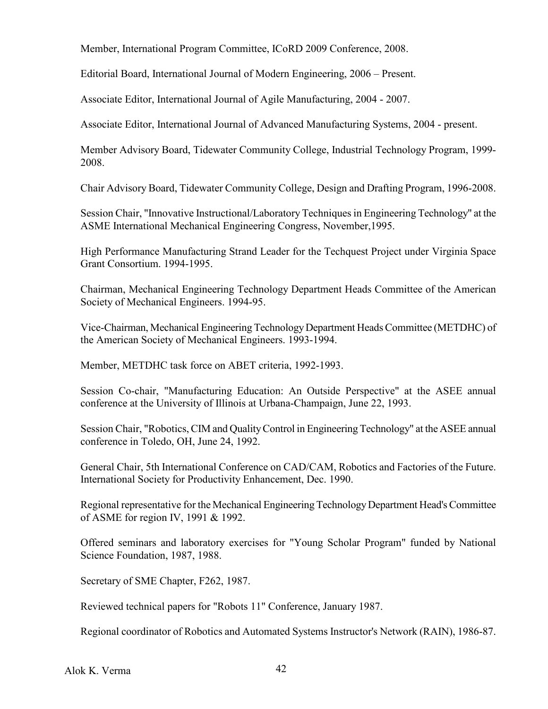Member, International Program Committee, ICoRD 2009 Conference, 2008.

Editorial Board, International Journal of Modern Engineering, 2006 – Present.

Associate Editor, International Journal of Agile Manufacturing, 2004 - 2007.

Associate Editor, International Journal of Advanced Manufacturing Systems, 2004 - present.

Member Advisory Board, Tidewater Community College, Industrial Technology Program, 1999- 2008.

Chair Advisory Board, Tidewater Community College, Design and Drafting Program, 1996-2008.

Session Chair, "Innovative Instructional/Laboratory Techniques in Engineering Technology" at the ASME International Mechanical Engineering Congress, November,1995.

High Performance Manufacturing Strand Leader for the Techquest Project under Virginia Space Grant Consortium. 1994-1995.

Chairman, Mechanical Engineering Technology Department Heads Committee of the American Society of Mechanical Engineers. 1994-95.

Vice-Chairman, Mechanical Engineering Technology Department Heads Committee (METDHC) of the American Society of Mechanical Engineers. 1993-1994.

Member, METDHC task force on ABET criteria, 1992-1993.

Session Co-chair, "Manufacturing Education: An Outside Perspective" at the ASEE annual conference at the University of Illinois at Urbana-Champaign, June 22, 1993.

Session Chair, "Robotics, CIM and Quality Control in Engineering Technology" at the ASEE annual conference in Toledo, OH, June 24, 1992.

General Chair, 5th International Conference on CAD/CAM, Robotics and Factories of the Future. International Society for Productivity Enhancement, Dec. 1990.

Regional representative for the Mechanical Engineering Technology Department Head's Committee of ASME for region IV, 1991 & 1992.

Offered seminars and laboratory exercises for "Young Scholar Program" funded by National Science Foundation, 1987, 1988.

Secretary of SME Chapter, F262, 1987.

Reviewed technical papers for "Robots 11" Conference, January 1987.

Regional coordinator of Robotics and Automated Systems Instructor's Network (RAIN), 1986-87.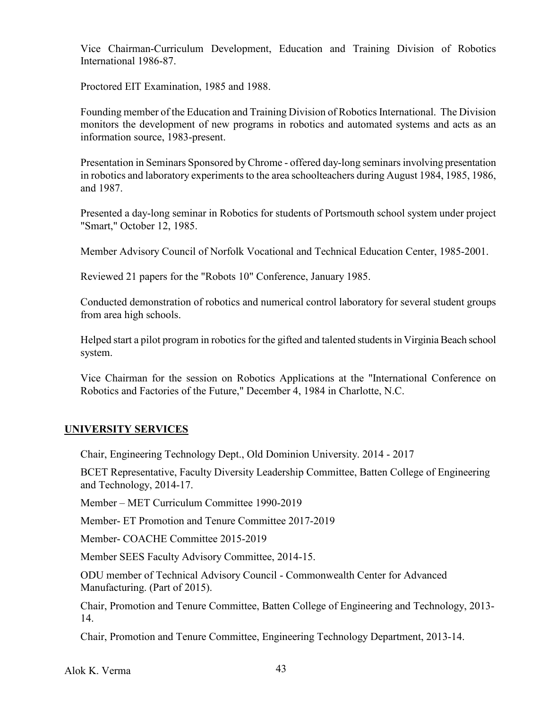Vice Chairman-Curriculum Development, Education and Training Division of Robotics International 1986-87.

Proctored EIT Examination, 1985 and 1988.

Founding member of the Education and Training Division of Robotics International. The Division monitors the development of new programs in robotics and automated systems and acts as an information source, 1983-present.

Presentation in Seminars Sponsored by Chrome - offered day-long seminars involving presentation in robotics and laboratory experiments to the area schoolteachers during August 1984, 1985, 1986, and 1987.

Presented a day-long seminar in Robotics for students of Portsmouth school system under project "Smart," October 12, 1985.

Member Advisory Council of Norfolk Vocational and Technical Education Center, 1985-2001.

Reviewed 21 papers for the "Robots 10" Conference, January 1985.

Conducted demonstration of robotics and numerical control laboratory for several student groups from area high schools.

Helped start a pilot program in robotics for the gifted and talented students in Virginia Beach school system.

Vice Chairman for the session on Robotics Applications at the "International Conference on Robotics and Factories of the Future," December 4, 1984 in Charlotte, N.C.

## **UNIVERSITY SERVICES**

Chair, Engineering Technology Dept., Old Dominion University. 2014 - 2017

BCET Representative, Faculty Diversity Leadership Committee, Batten College of Engineering and Technology, 2014-17.

Member – MET Curriculum Committee 1990-2019

Member- ET Promotion and Tenure Committee 2017-2019

Member- COACHE Committee 2015-2019

Member SEES Faculty Advisory Committee, 2014-15.

ODU member of Technical Advisory Council - Commonwealth Center for Advanced Manufacturing. (Part of 2015).

Chair, Promotion and Tenure Committee, Batten College of Engineering and Technology, 2013- 14.

Chair, Promotion and Tenure Committee, Engineering Technology Department, 2013-14.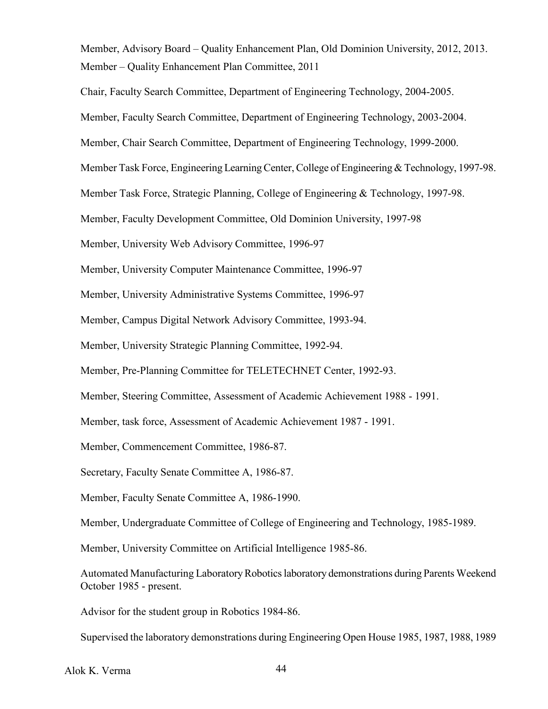Member, Advisory Board – Quality Enhancement Plan, Old Dominion University, 2012, 2013. Member – Quality Enhancement Plan Committee, 2011

Chair, Faculty Search Committee, Department of Engineering Technology, 2004-2005.

Member, Faculty Search Committee, Department of Engineering Technology, 2003-2004.

Member, Chair Search Committee, Department of Engineering Technology, 1999-2000.

Member Task Force, Engineering Learning Center, College of Engineering & Technology, 1997-98.

Member Task Force, Strategic Planning, College of Engineering & Technology, 1997-98.

Member, Faculty Development Committee, Old Dominion University, 1997-98

Member, University Web Advisory Committee, 1996-97

Member, University Computer Maintenance Committee, 1996-97

Member, University Administrative Systems Committee, 1996-97

Member, Campus Digital Network Advisory Committee, 1993-94.

Member, University Strategic Planning Committee, 1992-94.

Member, Pre-Planning Committee for TELETECHNET Center, 1992-93.

Member, Steering Committee, Assessment of Academic Achievement 1988 - 1991.

Member, task force, Assessment of Academic Achievement 1987 - 1991.

Member, Commencement Committee, 1986-87.

Secretary, Faculty Senate Committee A, 1986-87.

Member, Faculty Senate Committee A, 1986-1990.

Member, Undergraduate Committee of College of Engineering and Technology, 1985-1989.

Member, University Committee on Artificial Intelligence 1985-86.

Automated Manufacturing Laboratory Robotics laboratory demonstrations during Parents Weekend October 1985 - present.

Advisor for the student group in Robotics 1984-86.

Supervised the laboratory demonstrations during Engineering Open House 1985, 1987, 1988, 1989